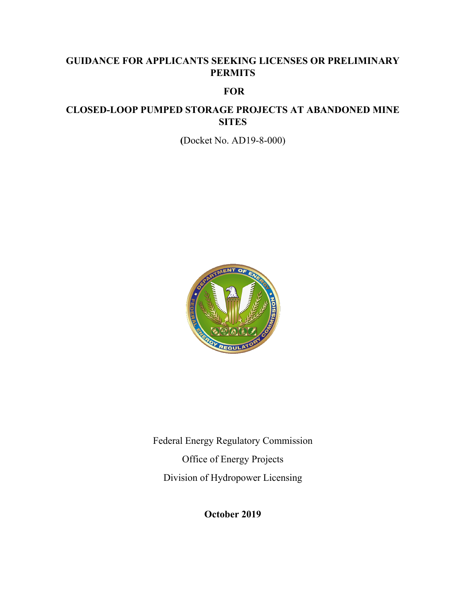## **GUIDANCE FOR APPLICANTS SEEKING LICENSES OR PRELIMINARY PERMITS**

### **FOR**

## **CLOSED-LOOP PUMPED STORAGE PROJECTS AT ABANDONED MINE SITES**

**(**Docket No. AD19-8-000)



Federal Energy Regulatory Commission Office of Energy Projects Division of Hydropower Licensing

**October 2019**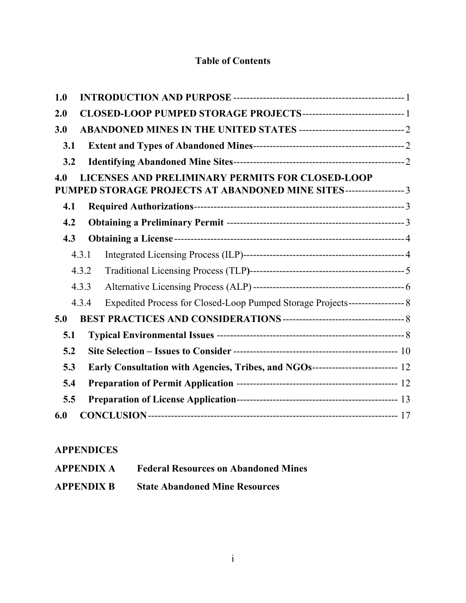## **Table of Contents**

| 1.0                                                                                                                             |  |
|---------------------------------------------------------------------------------------------------------------------------------|--|
| 2.0                                                                                                                             |  |
| 3.0                                                                                                                             |  |
| 3.1                                                                                                                             |  |
| 3.2                                                                                                                             |  |
| LICENSES AND PRELIMINARY PERMITS FOR CLOSED-LOOP<br>4.0<br>PUMPED STORAGE PROJECTS AT ABANDONED MINE SITES------------------- 3 |  |
| 4.1                                                                                                                             |  |
| 4.2                                                                                                                             |  |
| 4.3                                                                                                                             |  |
| 4.3.1                                                                                                                           |  |
| 4.3.2                                                                                                                           |  |
| 4.3.3                                                                                                                           |  |
| Expedited Process for Closed-Loop Pumped Storage Projects--------------------- 8<br>4.3.4                                       |  |
| 5.0                                                                                                                             |  |
| 5.1                                                                                                                             |  |
| 5.2                                                                                                                             |  |
| Early Consultation with Agencies, Tribes, and NGOs------------------------- 12<br>5.3                                           |  |
| 5.4                                                                                                                             |  |
| 5.5                                                                                                                             |  |
| 6.0                                                                                                                             |  |

## **APPENDICES**

| <b>APPENDIX A</b> | <b>Federal Resources on Abandoned Mines</b> |
|-------------------|---------------------------------------------|
| <b>APPENDIX B</b> | <b>State Abandoned Mine Resources</b>       |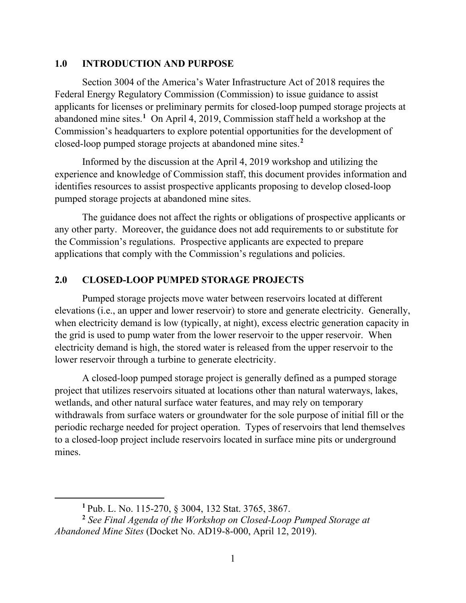#### **1.0 INTRODUCTION AND PURPOSE**

Section 3004 of the America's Water Infrastructure Act of 2018 requires the Federal Energy Regulatory Commission (Commission) to issue guidance to assist applicants for licenses or preliminary permits for closed-loop pumped storage projects at abandoned mine sites.**<sup>1</sup>** On April 4, 2019, Commission staff held a workshop at the Commission's headquarters to explore potential opportunities for the development of closed-loop pumped storage projects at abandoned mine sites. **2**

Informed by the discussion at the April 4, 2019 workshop and utilizing the experience and knowledge of Commission staff, this document provides information and identifies resources to assist prospective applicants proposing to develop closed-loop pumped storage projects at abandoned mine sites.

The guidance does not affect the rights or obligations of prospective applicants or any other party. Moreover, the guidance does not add requirements to or substitute for the Commission's regulations. Prospective applicants are expected to prepare applications that comply with the Commission's regulations and policies.

#### **2.0 CLOSED-LOOP PUMPED STORAGE PROJECTS**

Pumped storage projects move water between reservoirs located at different elevations (i.e., an upper and lower reservoir) to store and generate electricity. Generally, when electricity demand is low (typically, at night), excess electric generation capacity in the grid is used to pump water from the lower reservoir to the upper reservoir. When electricity demand is high, the stored water is released from the upper reservoir to the lower reservoir through a turbine to generate electricity.

A closed-loop pumped storage project is generally defined as a pumped storage project that utilizes reservoirs situated at locations other than natural waterways, lakes, wetlands, and other natural surface water features, and may rely on temporary withdrawals from surface waters or groundwater for the sole purpose of initial fill or the periodic recharge needed for project operation. Types of reservoirs that lend themselves to a closed-loop project include reservoirs located in surface mine pits or underground mines.

**<sup>1</sup>** Pub. L. No. 115-270, § 3004, 132 Stat. 3765, 3867.

**<sup>2</sup>** *See Final Agenda of the Workshop on Closed-Loop Pumped Storage at Abandoned Mine Sites* (Docket No. AD19-8-000, April 12, 2019).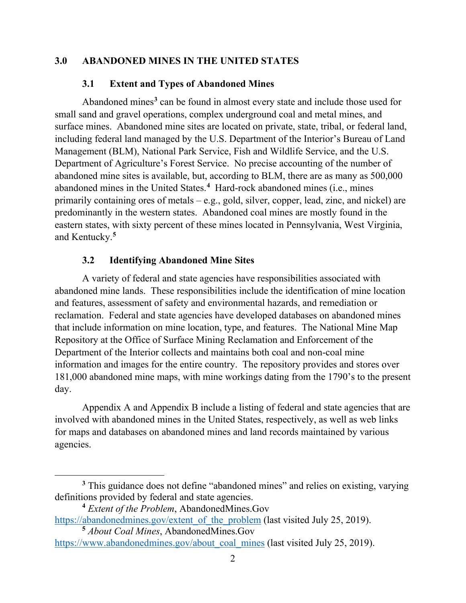#### **3.0 ABANDONED MINES IN THE UNITED STATES**

#### **3.1 Extent and Types of Abandoned Mines**

Abandoned mines**<sup>3</sup>** can be found in almost every state and include those used for small sand and gravel operations, complex underground coal and metal mines, and surface mines. Abandoned mine sites are located on private, state, tribal, or federal land, including federal land managed by the U.S. Department of the Interior's Bureau of Land Management (BLM), National Park Service, Fish and Wildlife Service, and the U.S. Department of Agriculture's Forest Service. No precise accounting of the number of abandoned mine sites is available, but, according to BLM, there are as many as 500,000 abandoned mines in the United States. **4** Hard-rock abandoned mines (i.e., mines primarily containing ores of metals – e.g., gold, silver, copper, lead, zinc, and nickel) are predominantly in the western states. Abandoned coal mines are mostly found in the eastern states, with sixty percent of these mines located in Pennsylvania, West Virginia, and Kentucky.**<sup>5</sup>**

#### **3.2 Identifying Abandoned Mine Sites**

A variety of federal and state agencies have responsibilities associated with abandoned mine lands. These responsibilities include the identification of mine location and features, assessment of safety and environmental hazards, and remediation or reclamation. Federal and state agencies have developed databases on abandoned mines that include information on mine location, type, and features. The National Mine Map Repository at the Office of Surface Mining Reclamation and Enforcement of the Department of the Interior collects and maintains both coal and non-coal mine information and images for the entire country. The repository provides and stores over 181,000 abandoned mine maps, with mine workings dating from the 1790's to the present day.

Appendix A and Appendix B include a listing of federal and state agencies that are involved with abandoned mines in the United States, respectively, as well as web links for maps and databases on abandoned mines and land records maintained by various agencies.

<sup>&</sup>lt;sup>3</sup> This guidance does not define "abandoned mines" and relies on existing, varying definitions provided by federal and state agencies.

**<sup>4</sup>** *Extent of the Problem*, AbandonedMines.Gov

https://abandonedmines.gov/extent\_of\_the\_problem (last visited July 25, 2019).

**<sup>5</sup>** *About Coal Mines*, AbandonedMines.Gov

https://www.abandonedmines.gov/about\_coal\_mines (last visited July 25, 2019).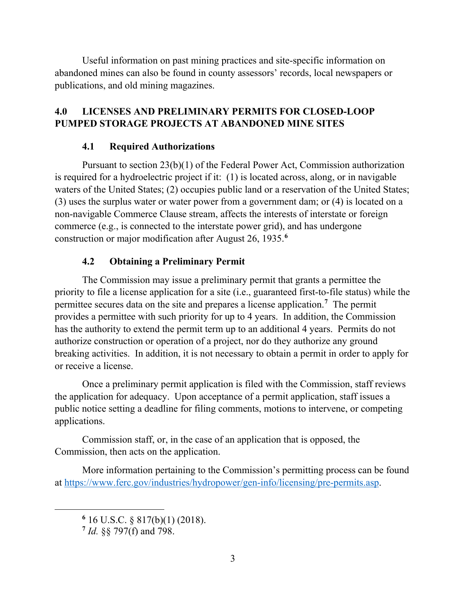Useful information on past mining practices and site-specific information on abandoned mines can also be found in county assessors' records, local newspapers or publications, and old mining magazines.

## **4.0 LICENSES AND PRELIMINARY PERMITS FOR CLOSED-LOOP PUMPED STORAGE PROJECTS AT ABANDONED MINE SITES**

## **4.1 Required Authorizations**

Pursuant to section 23(b)(1) of the Federal Power Act, Commission authorization is required for a hydroelectric project if it: (1) is located across, along, or in navigable waters of the United States; (2) occupies public land or a reservation of the United States; (3) uses the surplus water or water power from a government dam; or (4) is located on a non-navigable Commerce Clause stream, affects the interests of interstate or foreign commerce (e.g., is connected to the interstate power grid), and has undergone construction or major modification after August 26, 1935.**<sup>6</sup>**

## **4.2 Obtaining a Preliminary Permit**

The Commission may issue a preliminary permit that grants a permittee the priority to file a license application for a site (i.e., guaranteed first-to-file status) while the permittee secures data on the site and prepares a license application.**<sup>7</sup>** The permit provides a permittee with such priority for up to 4 years. In addition, the Commission has the authority to extend the permit term up to an additional 4 years. Permits do not authorize construction or operation of a project, nor do they authorize any ground breaking activities. In addition, it is not necessary to obtain a permit in order to apply for or receive a license.

Once a preliminary permit application is filed with the Commission, staff reviews the application for adequacy. Upon acceptance of a permit application, staff issues a public notice setting a deadline for filing comments, motions to intervene, or competing applications.

Commission staff, or, in the case of an application that is opposed, the Commission, then acts on the application.

More information pertaining to the Commission's permitting process can be found at https://www.ferc.gov/industries/hydropower/gen-info/licensing/pre-permits.asp.

**<sup>6</sup>** 16 U.S.C. § 817(b)(1) (2018).

**<sup>7</sup>** *Id.* §§ 797(f) and 798.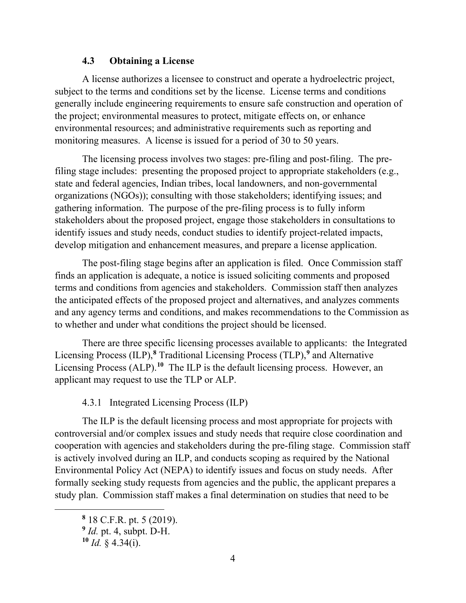#### **4.3 Obtaining a License**

A license authorizes a licensee to construct and operate a hydroelectric project, subject to the terms and conditions set by the license. License terms and conditions generally include engineering requirements to ensure safe construction and operation of the project; environmental measures to protect, mitigate effects on, or enhance environmental resources; and administrative requirements such as reporting and monitoring measures. A license is issued for a period of 30 to 50 years.

The licensing process involves two stages: pre-filing and post-filing. The prefiling stage includes: presenting the proposed project to appropriate stakeholders (e.g., state and federal agencies, Indian tribes, local landowners, and non-governmental organizations (NGOs)); consulting with those stakeholders; identifying issues; and gathering information. The purpose of the pre-filing process is to fully inform stakeholders about the proposed project, engage those stakeholders in consultations to identify issues and study needs, conduct studies to identify project-related impacts, develop mitigation and enhancement measures, and prepare a license application.

The post-filing stage begins after an application is filed. Once Commission staff finds an application is adequate, a notice is issued soliciting comments and proposed terms and conditions from agencies and stakeholders. Commission staff then analyzes the anticipated effects of the proposed project and alternatives, and analyzes comments and any agency terms and conditions, and makes recommendations to the Commission as to whether and under what conditions the project should be licensed.

There are three specific licensing processes available to applicants: the Integrated Licensing Process (ILP),**<sup>8</sup>** Traditional Licensing Process (TLP),**<sup>9</sup>** and Alternative Licensing Process (ALP).<sup>10</sup> The ILP is the default licensing process. However, an applicant may request to use the TLP or ALP.

4.3.1 Integrated Licensing Process (ILP)

The ILP is the default licensing process and most appropriate for projects with controversial and/or complex issues and study needs that require close coordination and cooperation with agencies and stakeholders during the pre-filing stage. Commission staff is actively involved during an ILP, and conducts scoping as required by the National Environmental Policy Act (NEPA) to identify issues and focus on study needs. After formally seeking study requests from agencies and the public, the applicant prepares a study plan. Commission staff makes a final determination on studies that need to be

**<sup>8</sup>** 18 C.F.R. pt. 5 (2019).

**<sup>9</sup>** *Id.* pt. 4, subpt. D-H.

 $10$  *Id.* § 4.34(i).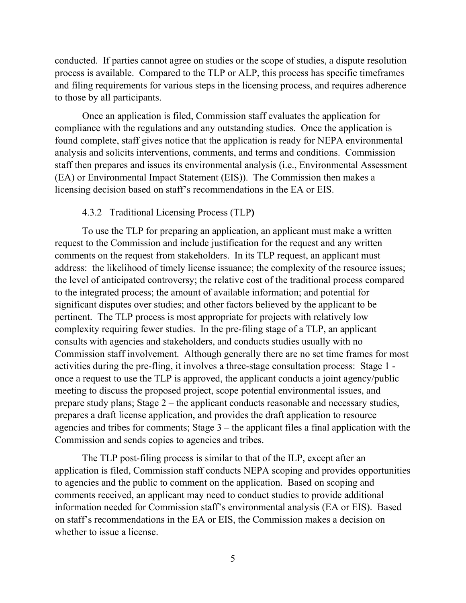conducted. If parties cannot agree on studies or the scope of studies, a dispute resolution process is available. Compared to the TLP or ALP, this process has specific timeframes and filing requirements for various steps in the licensing process, and requires adherence to those by all participants.

Once an application is filed, Commission staff evaluates the application for compliance with the regulations and any outstanding studies. Once the application is found complete, staff gives notice that the application is ready for NEPA environmental analysis and solicits interventions, comments, and terms and conditions. Commission staff then prepares and issues its environmental analysis (i.e., Environmental Assessment (EA) or Environmental Impact Statement (EIS)). The Commission then makes a licensing decision based on staff's recommendations in the EA or EIS.

#### 4.3.2 Traditional Licensing Process (TLP**)**

To use the TLP for preparing an application, an applicant must make a written request to the Commission and include justification for the request and any written comments on the request from stakeholders. In its TLP request, an applicant must address: the likelihood of timely license issuance; the complexity of the resource issues; the level of anticipated controversy; the relative cost of the traditional process compared to the integrated process; the amount of available information; and potential for significant disputes over studies; and other factors believed by the applicant to be pertinent. The TLP process is most appropriate for projects with relatively low complexity requiring fewer studies. In the pre-filing stage of a TLP, an applicant consults with agencies and stakeholders, and conducts studies usually with no Commission staff involvement. Although generally there are no set time frames for most activities during the pre-fling, it involves a three-stage consultation process: Stage 1 once a request to use the TLP is approved, the applicant conducts a joint agency/public meeting to discuss the proposed project, scope potential environmental issues, and prepare study plans; Stage 2 – the applicant conducts reasonable and necessary studies, prepares a draft license application, and provides the draft application to resource agencies and tribes for comments; Stage 3 – the applicant files a final application with the Commission and sends copies to agencies and tribes.

The TLP post-filing process is similar to that of the ILP, except after an application is filed, Commission staff conducts NEPA scoping and provides opportunities to agencies and the public to comment on the application. Based on scoping and comments received, an applicant may need to conduct studies to provide additional information needed for Commission staff's environmental analysis (EA or EIS). Based on staff's recommendations in the EA or EIS, the Commission makes a decision on whether to issue a license.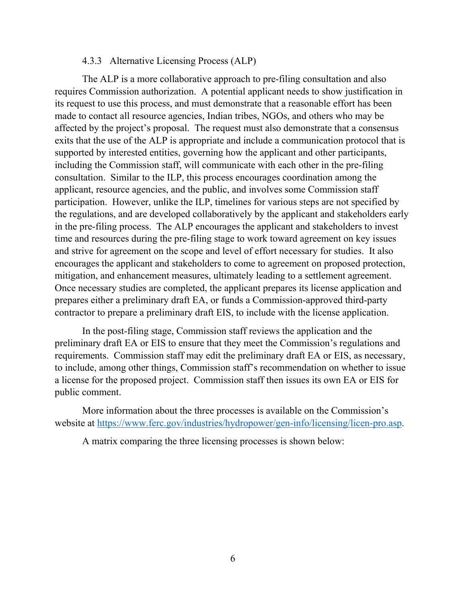#### 4.3.3 Alternative Licensing Process (ALP)

The ALP is a more collaborative approach to pre-filing consultation and also requires Commission authorization. A potential applicant needs to show justification in its request to use this process, and must demonstrate that a reasonable effort has been made to contact all resource agencies, Indian tribes, NGOs, and others who may be affected by the project's proposal. The request must also demonstrate that a consensus exits that the use of the ALP is appropriate and include a communication protocol that is supported by interested entities, governing how the applicant and other participants, including the Commission staff, will communicate with each other in the pre-filing consultation. Similar to the ILP, this process encourages coordination among the applicant, resource agencies, and the public, and involves some Commission staff participation. However, unlike the ILP, timelines for various steps are not specified by the regulations, and are developed collaboratively by the applicant and stakeholders early in the pre-filing process. The ALP encourages the applicant and stakeholders to invest time and resources during the pre-filing stage to work toward agreement on key issues and strive for agreement on the scope and level of effort necessary for studies. It also encourages the applicant and stakeholders to come to agreement on proposed protection, mitigation, and enhancement measures, ultimately leading to a settlement agreement. Once necessary studies are completed, the applicant prepares its license application and prepares either a preliminary draft EA, or funds a Commission-approved third-party contractor to prepare a preliminary draft EIS, to include with the license application.

In the post-filing stage, Commission staff reviews the application and the preliminary draft EA or EIS to ensure that they meet the Commission's regulations and requirements. Commission staff may edit the preliminary draft EA or EIS, as necessary, to include, among other things, Commission staff's recommendation on whether to issue a license for the proposed project. Commission staff then issues its own EA or EIS for public comment.

More information about the three processes is available on the Commission's website at https://www.ferc.gov/industries/hydropower/gen-info/licensing/licen-pro.asp.

A matrix comparing the three licensing processes is shown below: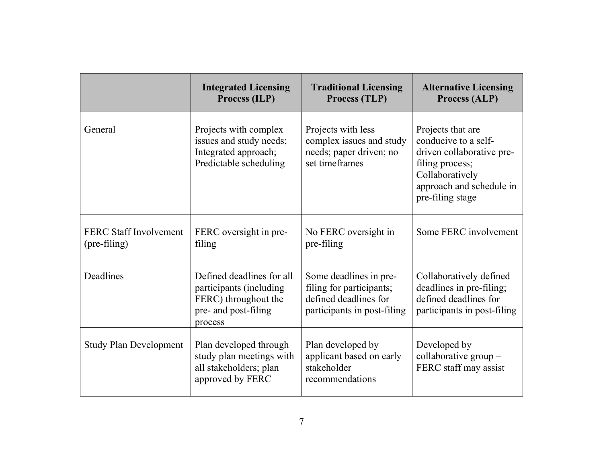|                                               | <b>Integrated Licensing</b><br>Process (ILP)                                                                    | <b>Traditional Licensing</b><br>Process (TLP)                                                              | <b>Alternative Licensing</b><br>Process (ALP)                                                                                                                |
|-----------------------------------------------|-----------------------------------------------------------------------------------------------------------------|------------------------------------------------------------------------------------------------------------|--------------------------------------------------------------------------------------------------------------------------------------------------------------|
| General                                       | Projects with complex<br>issues and study needs;<br>Integrated approach;<br>Predictable scheduling              | Projects with less<br>complex issues and study<br>needs; paper driven; no<br>set timeframes                | Projects that are<br>conducive to a self-<br>driven collaborative pre-<br>filing process;<br>Collaboratively<br>approach and schedule in<br>pre-filing stage |
| <b>FERC Staff Involvement</b><br>(pre-filing) | FERC oversight in pre-<br>filing                                                                                | No FERC oversight in<br>pre-filing                                                                         | Some FERC involvement                                                                                                                                        |
| Deadlines                                     | Defined deadlines for all<br>participants (including<br>FERC) throughout the<br>pre- and post-filing<br>process | Some deadlines in pre-<br>filing for participants;<br>defined deadlines for<br>participants in post-filing | Collaboratively defined<br>deadlines in pre-filing;<br>defined deadlines for<br>participants in post-filing                                                  |
| <b>Study Plan Development</b>                 | Plan developed through<br>study plan meetings with<br>all stakeholders; plan<br>approved by FERC                | Plan developed by<br>applicant based on early<br>stakeholder<br>recommendations                            | Developed by<br>collaborative group $-$<br>FERC staff may assist                                                                                             |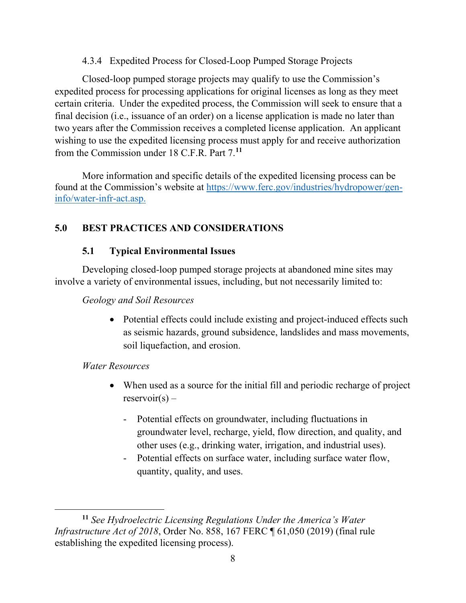4.3.4 Expedited Process for Closed-Loop Pumped Storage Projects

Closed-loop pumped storage projects may qualify to use the Commission's expedited process for processing applications for original licenses as long as they meet certain criteria. Under the expedited process, the Commission will seek to ensure that a final decision (i.e., issuance of an order) on a license application is made no later than two years after the Commission receives a completed license application. An applicant wishing to use the expedited licensing process must apply for and receive authorization from the Commission under 18 C.F.R. Part 7. **11**

More information and specific details of the expedited licensing process can be found at the Commission's website at https://www.ferc.gov/industries/hydropower/geninfo/water-infr-act.asp.

## **5.0 BEST PRACTICES AND CONSIDERATIONS**

## **5.1 Typical Environmental Issues**

Developing closed-loop pumped storage projects at abandoned mine sites may involve a variety of environmental issues, including, but not necessarily limited to:

## *Geology and Soil Resources*

• Potential effects could include existing and project-induced effects such as seismic hazards, ground subsidence, landslides and mass movements, soil liquefaction, and erosion.

## *Water Resources*

- When used as a source for the initial fill and periodic recharge of project  $reservoir(s)$  –
	- Potential effects on groundwater, including fluctuations in groundwater level, recharge, yield, flow direction, and quality, and other uses (e.g., drinking water, irrigation, and industrial uses).
	- Potential effects on surface water, including surface water flow, quantity, quality, and uses.

 $\overline{a}$ **<sup>11</sup>** *See Hydroelectric Licensing Regulations Under the America's Water Infrastructure Act of 2018*, Order No. 858, 167 FERC ¶ 61,050 (2019) (final rule establishing the expedited licensing process).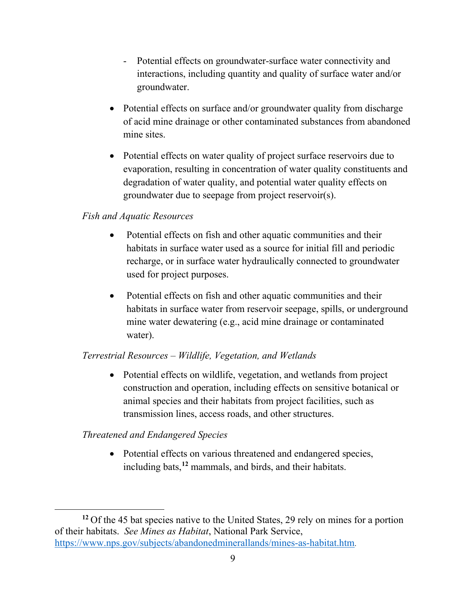- Potential effects on groundwater-surface water connectivity and interactions, including quantity and quality of surface water and/or groundwater.
- Potential effects on surface and/or groundwater quality from discharge of acid mine drainage or other contaminated substances from abandoned mine sites.
- Potential effects on water quality of project surface reservoirs due to evaporation, resulting in concentration of water quality constituents and degradation of water quality, and potential water quality effects on groundwater due to seepage from project reservoir(s).

#### *Fish and Aquatic Resources*

- Potential effects on fish and other aquatic communities and their habitats in surface water used as a source for initial fill and periodic recharge, or in surface water hydraulically connected to groundwater used for project purposes.
- Potential effects on fish and other aquatic communities and their habitats in surface water from reservoir seepage, spills, or underground mine water dewatering (e.g., acid mine drainage or contaminated water).

## *Terrestrial Resources – Wildlife, Vegetation, and Wetlands*

• Potential effects on wildlife, vegetation, and wetlands from project construction and operation, including effects on sensitive botanical or animal species and their habitats from project facilities, such as transmission lines, access roads, and other structures.

## *Threatened and Endangered Species*

 $\overline{a}$ 

• Potential effects on various threatened and endangered species, including bats,**<sup>12</sup>** mammals, and birds, and their habitats.

**<sup>12</sup>** Of the 45 bat species native to the United States, 29 rely on mines for a portion of their habitats. *See Mines as Habitat*, National Park Service, https://www.nps.gov/subjects/abandonedminerallands/mines-as-habitat.htm.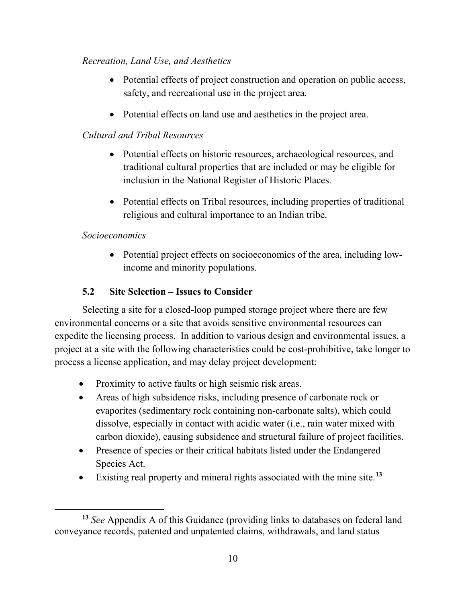## *Recreation, Land Use, and Aesthetics*

- Potential effects of project construction and operation on public access, safety, and recreational use in the project area.
- Potential effects on land use and aesthetics in the project area.

## *Cultural and Tribal Resources*

- Potential effects on historic resources, archaeological resources, and traditional cultural properties that are included or may be eligible for inclusion in the National Register of Historic Places.
- Potential effects on Tribal resources, including properties of traditional religious and cultural importance to an Indian tribe.

## *Socioeconomics*

• Potential project effects on socioeconomics of the area, including lowincome and minority populations.

## **5.2 Site Selection – Issues to Consider**

Selecting a site for a closed-loop pumped storage project where there are few environmental concerns or a site that avoids sensitive environmental resources can expedite the licensing process. In addition to various design and environmental issues, a project at a site with the following characteristics could be cost-prohibitive, take longer to process a license application, and may delay project development:

- Proximity to active faults or high seismic risk areas.
- Areas of high subsidence risks, including presence of carbonate rock or evaporites (sedimentary rock containing non-carbonate salts), which could dissolve, especially in contact with acidic water (i.e., rain water mixed with carbon dioxide), causing subsidence and structural failure of project facilities.
- Presence of species or their critical habitats listed under the Endangered Species Act.
- Existing real property and mineral rights associated with the mine site. **13**

 $\overline{a}$ **<sup>13</sup>** *See* Appendix A of this Guidance (providing links to databases on federal land conveyance records, patented and unpatented claims, withdrawals, and land status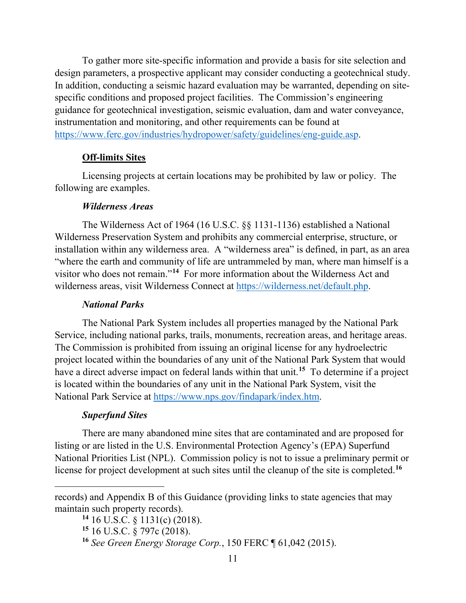To gather more site-specific information and provide a basis for site selection and design parameters, a prospective applicant may consider conducting a geotechnical study. In addition, conducting a seismic hazard evaluation may be warranted, depending on sitespecific conditions and proposed project facilities. The Commission's engineering guidance for geotechnical investigation, seismic evaluation, dam and water conveyance, instrumentation and monitoring, and other requirements can be found at https://www.ferc.gov/industries/hydropower/safety/guidelines/eng-guide.asp.

#### **Off-limits Sites**

Licensing projects at certain locations may be prohibited by law or policy. The following are examples.

#### *Wilderness Areas*

The Wilderness Act of 1964 (16 U.S.C. §§ 1131-1136) established a National Wilderness Preservation System and prohibits any commercial enterprise, structure, or installation within any wilderness area. A "wilderness area" is defined, in part, as an area "where the earth and community of life are untrammeled by man, where man himself is a visitor who does not remain."**<sup>14</sup>** For more information about the Wilderness Act and wilderness areas, visit Wilderness Connect at https://wilderness.net/default.php.

#### *National Parks*

The National Park System includes all properties managed by the National Park Service, including national parks, trails, monuments, recreation areas, and heritage areas. The Commission is prohibited from issuing an original license for any hydroelectric project located within the boundaries of any unit of the National Park System that would have a direct adverse impact on federal lands within that unit.**<sup>15</sup>** To determine if a project is located within the boundaries of any unit in the National Park System, visit the National Park Service at https://www.nps.gov/findapark/index.htm.

#### *Superfund Sites*

 $\overline{a}$ 

There are many abandoned mine sites that are contaminated and are proposed for listing or are listed in the U.S. Environmental Protection Agency's (EPA) Superfund National Priorities List (NPL). Commission policy is not to issue a preliminary permit or license for project development at such sites until the cleanup of the site is completed.**<sup>16</sup>**

records) and Appendix B of this Guidance (providing links to state agencies that may maintain such property records).

**<sup>14</sup>** 16 U.S.C. § 1131(c) (2018).

**<sup>15</sup>** 16 U.S.C. § 797c (2018).

**<sup>16</sup>** *See Green Energy Storage Corp.*, 150 FERC ¶ 61,042 (2015).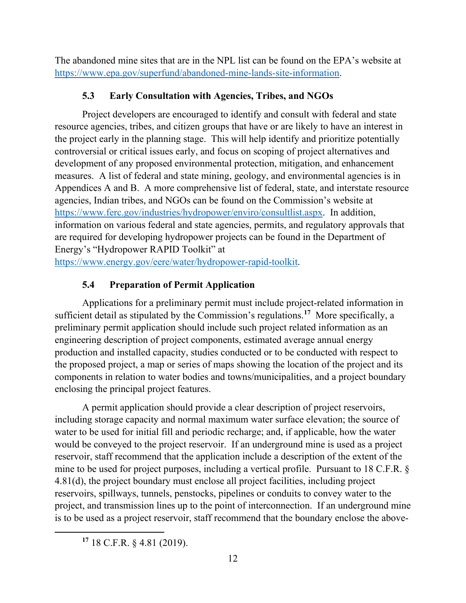The abandoned mine sites that are in the NPL list can be found on the EPA's website at https://www.epa.gov/superfund/abandoned-mine-lands-site-information.

## **5.3 Early Consultation with Agencies, Tribes, and NGOs**

Project developers are encouraged to identify and consult with federal and state resource agencies, tribes, and citizen groups that have or are likely to have an interest in the project early in the planning stage. This will help identify and prioritize potentially controversial or critical issues early, and focus on scoping of project alternatives and development of any proposed environmental protection, mitigation, and enhancement measures. A list of federal and state mining, geology, and environmental agencies is in Appendices A and B. A more comprehensive list of federal, state, and interstate resource agencies, Indian tribes, and NGOs can be found on the Commission's website at https://www.ferc.gov/industries/hydropower/enviro/consultlist.aspx. In addition, information on various federal and state agencies, permits, and regulatory approvals that are required for developing hydropower projects can be found in the Department of Energy's "Hydropower RAPID Toolkit" at

https://www.energy.gov/eere/water/hydropower-rapid-toolkit.

## **5.4 Preparation of Permit Application**

Applications for a preliminary permit must include project-related information in sufficient detail as stipulated by the Commission's regulations. **<sup>17</sup>** More specifically, a preliminary permit application should include such project related information as an engineering description of project components, estimated average annual energy production and installed capacity, studies conducted or to be conducted with respect to the proposed project, a map or series of maps showing the location of the project and its components in relation to water bodies and towns/municipalities, and a project boundary enclosing the principal project features.

A permit application should provide a clear description of project reservoirs, including storage capacity and normal maximum water surface elevation; the source of water to be used for initial fill and periodic recharge; and, if applicable, how the water would be conveyed to the project reservoir. If an underground mine is used as a project reservoir, staff recommend that the application include a description of the extent of the mine to be used for project purposes, including a vertical profile. Pursuant to 18 C.F.R. § 4.81(d), the project boundary must enclose all project facilities, including project reservoirs, spillways, tunnels, penstocks, pipelines or conduits to convey water to the project, and transmission lines up to the point of interconnection. If an underground mine is to be used as a project reservoir, staff recommend that the boundary enclose the above-

**<sup>17</sup>** 18 C.F.R. § 4.81 (2019).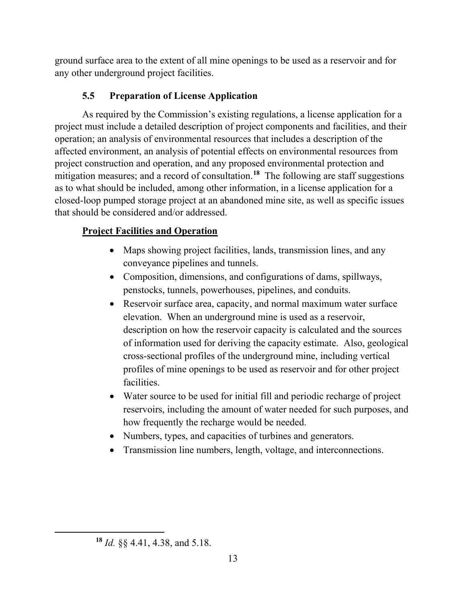ground surface area to the extent of all mine openings to be used as a reservoir and for any other underground project facilities.

## **5.5 Preparation of License Application**

As required by the Commission's existing regulations, a license application for a project must include a detailed description of project components and facilities, and their operation; an analysis of environmental resources that includes a description of the affected environment, an analysis of potential effects on environmental resources from project construction and operation, and any proposed environmental protection and mitigation measures; and a record of consultation. **<sup>18</sup>** The following are staff suggestions as to what should be included, among other information, in a license application for a closed-loop pumped storage project at an abandoned mine site, as well as specific issues that should be considered and/or addressed.

## **Project Facilities and Operation**

- Maps showing project facilities, lands, transmission lines, and any conveyance pipelines and tunnels.
- Composition, dimensions, and configurations of dams, spillways, penstocks, tunnels, powerhouses, pipelines, and conduits.
- Reservoir surface area, capacity, and normal maximum water surface elevation. When an underground mine is used as a reservoir, description on how the reservoir capacity is calculated and the sources of information used for deriving the capacity estimate. Also, geological cross-sectional profiles of the underground mine, including vertical profiles of mine openings to be used as reservoir and for other project facilities.
- Water source to be used for initial fill and periodic recharge of project reservoirs, including the amount of water needed for such purposes, and how frequently the recharge would be needed.
- Numbers, types, and capacities of turbines and generators.
- Transmission line numbers, length, voltage, and interconnections.

**<sup>18</sup>** *Id.* §§ 4.41, 4.38, and 5.18.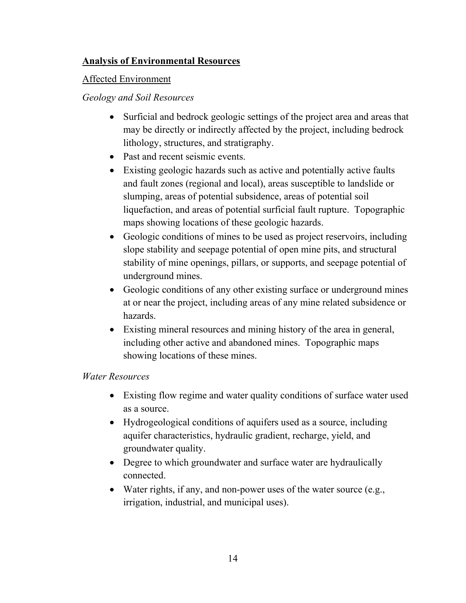## **Analysis of Environmental Resources**

### Affected Environment

## *Geology and Soil Resources*

- Surficial and bedrock geologic settings of the project area and areas that may be directly or indirectly affected by the project, including bedrock lithology, structures, and stratigraphy.
- Past and recent seismic events.
- Existing geologic hazards such as active and potentially active faults and fault zones (regional and local), areas susceptible to landslide or slumping, areas of potential subsidence, areas of potential soil liquefaction, and areas of potential surficial fault rupture. Topographic maps showing locations of these geologic hazards.
- Geologic conditions of mines to be used as project reservoirs, including slope stability and seepage potential of open mine pits, and structural stability of mine openings, pillars, or supports, and seepage potential of underground mines.
- Geologic conditions of any other existing surface or underground mines at or near the project, including areas of any mine related subsidence or hazards.
- Existing mineral resources and mining history of the area in general, including other active and abandoned mines. Topographic maps showing locations of these mines.

## *Water Resources*

- Existing flow regime and water quality conditions of surface water used as a source.
- Hydrogeological conditions of aquifers used as a source, including aquifer characteristics, hydraulic gradient, recharge, yield, and groundwater quality.
- Degree to which groundwater and surface water are hydraulically connected.
- Water rights, if any, and non-power uses of the water source (e.g., irrigation, industrial, and municipal uses).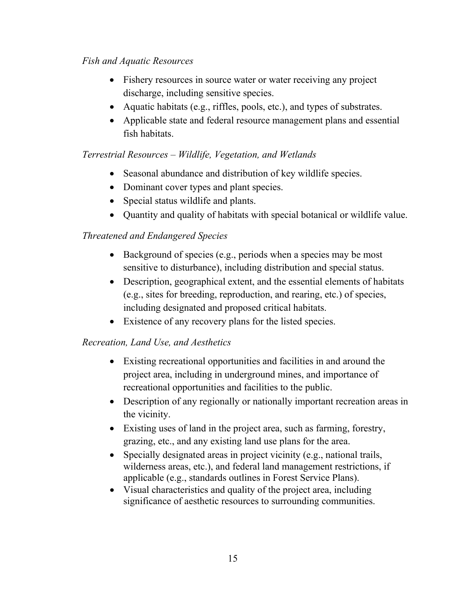## *Fish and Aquatic Resources*

- Fishery resources in source water or water receiving any project discharge, including sensitive species.
- Aquatic habitats (e.g., riffles, pools, etc.), and types of substrates.
- Applicable state and federal resource management plans and essential fish habitats.

## *Terrestrial Resources – Wildlife, Vegetation, and Wetlands*

- Seasonal abundance and distribution of key wildlife species.
- Dominant cover types and plant species.
- Special status wildlife and plants.
- Quantity and quality of habitats with special botanical or wildlife value.

## *Threatened and Endangered Species*

- Background of species (e.g., periods when a species may be most sensitive to disturbance), including distribution and special status.
- Description, geographical extent, and the essential elements of habitats (e.g., sites for breeding, reproduction, and rearing, etc.) of species, including designated and proposed critical habitats.
- Existence of any recovery plans for the listed species.

## *Recreation, Land Use, and Aesthetics*

- Existing recreational opportunities and facilities in and around the project area, including in underground mines, and importance of recreational opportunities and facilities to the public.
- Description of any regionally or nationally important recreation areas in the vicinity.
- Existing uses of land in the project area, such as farming, forestry, grazing, etc., and any existing land use plans for the area.
- Specially designated areas in project vicinity (e.g., national trails, wilderness areas, etc.), and federal land management restrictions, if applicable (e.g., standards outlines in Forest Service Plans).
- Visual characteristics and quality of the project area, including significance of aesthetic resources to surrounding communities.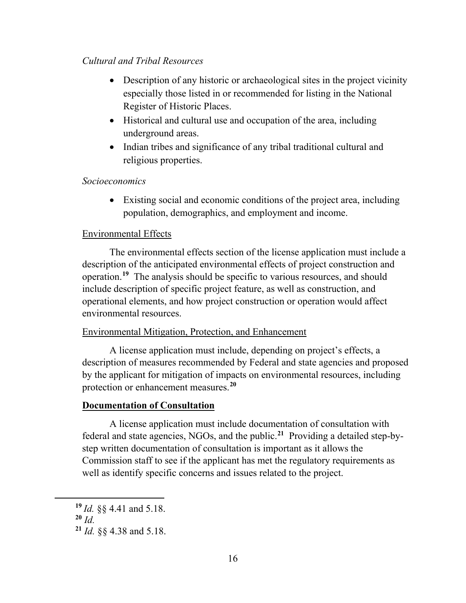#### *Cultural and Tribal Resources*

- Description of any historic or archaeological sites in the project vicinity especially those listed in or recommended for listing in the National Register of Historic Places.
- Historical and cultural use and occupation of the area, including underground areas.
- Indian tribes and significance of any tribal traditional cultural and religious properties.

#### *Socioeconomics*

• Existing social and economic conditions of the project area, including population, demographics, and employment and income.

#### Environmental Effects

The environmental effects section of the license application must include a description of the anticipated environmental effects of project construction and operation. **<sup>19</sup>** The analysis should be specific to various resources, and should include description of specific project feature, as well as construction, and operational elements, and how project construction or operation would affect environmental resources.

#### Environmental Mitigation, Protection, and Enhancement

A license application must include, depending on project's effects, a description of measures recommended by Federal and state agencies and proposed by the applicant for mitigation of impacts on environmental resources, including protection or enhancement measures. **20**

#### **Documentation of Consultation**

A license application must include documentation of consultation with federal and state agencies, NGOs, and the public. **<sup>21</sup>** Providing a detailed step-bystep written documentation of consultation is important as it allows the Commission staff to see if the applicant has met the regulatory requirements as well as identify specific concerns and issues related to the project.

**<sup>19</sup>** *Id.* §§ 4.41 and 5.18.

**<sup>20</sup>** *Id.*

**<sup>21</sup>** *Id.* §§ 4.38 and 5.18.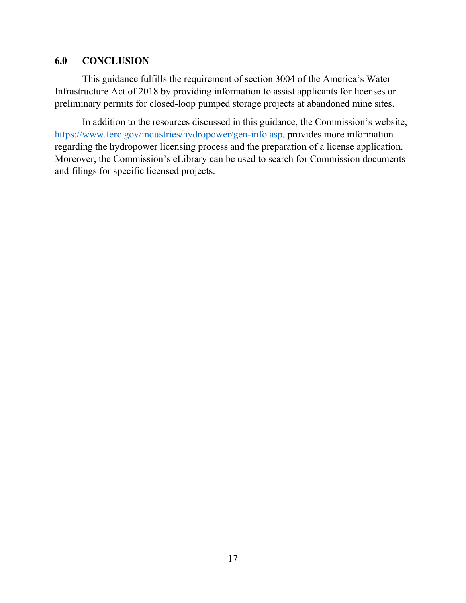#### **6.0 CONCLUSION**

This guidance fulfills the requirement of section 3004 of the America's Water Infrastructure Act of 2018 by providing information to assist applicants for licenses or preliminary permits for closed-loop pumped storage projects at abandoned mine sites.

In addition to the resources discussed in this guidance, the Commission's website, https://www.ferc.gov/industries/hydropower/gen-info.asp, provides more information regarding the hydropower licensing process and the preparation of a license application. Moreover, the Commission's eLibrary can be used to search for Commission documents and filings for specific licensed projects.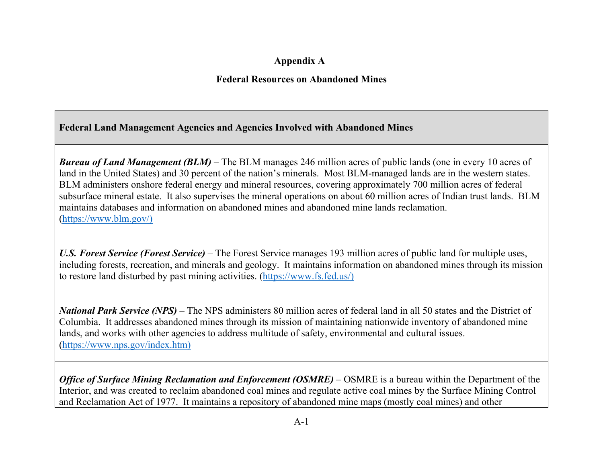## **Appendix A**

### **Federal Resources on Abandoned Mines**

## **Federal Land Management Agencies and Agencies Involved with Abandoned Mines**

*Bureau of Land Management (BLM)* – The BLM manages 246 million acres of public lands (one in every 10 acres of land in the United States) and 30 percent of the nation's minerals. Most BLM-managed lands are in the western states. BLM administers onshore federal energy and mineral resources, covering approximately 700 million acres of federal subsurface mineral estate. It also supervises the mineral operations on about 60 million acres of Indian trust lands. BLM maintains databases and information on abandoned mines and abandoned mine lands reclamation. (https://www.blm.gov/)

*U.S. Forest Service (Forest Service)* – The Forest Service manages 193 million acres of public land for multiple uses, including forests, recreation, and minerals and geology. It maintains information on abandoned mines through its mission to restore land disturbed by past mining activities. (https://www.fs.fed.us/)

*National Park Service (NPS)* – The NPS administers 80 million acres of federal land in all 50 states and the District of Columbia. It addresses abandoned mines through its mission of maintaining nationwide inventory of abandoned mine lands, and works with other agencies to address multitude of safety, environmental and cultural issues. (https://www.nps.gov/index.htm)

*Office of Surface Mining Reclamation and Enforcement (OSMRE)* – OSMRE is a bureau within the Department of the Interior, and was created to reclaim abandoned coal mines and regulate active coal mines by the Surface Mining Control and Reclamation Act of 1977. It maintains a repository of abandoned mine maps (mostly coal mines) and other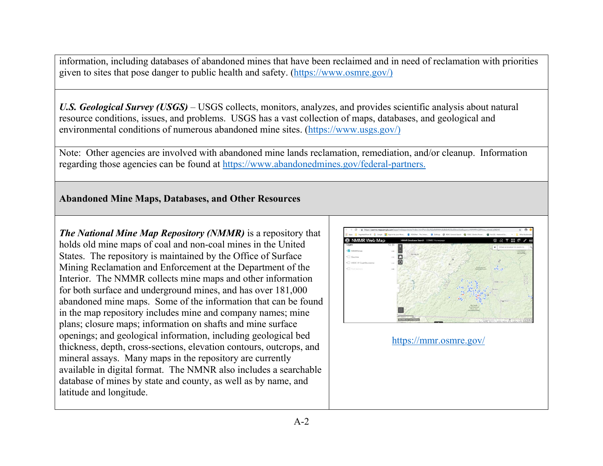information, including databases of abandoned mines that have been reclaimed and in need of reclamation with priorities given to sites that pose danger to public health and safety. (https://www.osmre.gov/)

*U.S. Geological Survey (USGS)* – USGS collects, monitors, analyzes, and provides scientific analysis about natural resource conditions, issues, and problems. USGS has a vast collection of maps, databases, and geological and environmental conditions of numerous abandoned mine sites. (https://www.usgs.gov/)

Note: Other agencies are involved with abandoned mine lands reclamation, remediation, and/or cleanup. Information regarding those agencies can be found at https://www.abandonedmines.gov/federal-partners.

## **Abandoned Mine Maps, Databases, and Other Resources**

*The National Mine Map Repository (NMMR)* is a repository that holds old mine maps of coal and non-coal mines in the United States. The repository is maintained by the Office of Surface Mining Reclamation and Enforcement at the Department of the Interior. The NMMR collects mine maps and other information for both surface and underground mines, and has over 181,000 abandoned mine maps. Some of the information that can be found in the map repository includes mine and company names; mine plans; closure maps; information on shafts and mine surface openings; and geological information, including geological bed thickness, depth, cross-sections, elevation contours, outcrops, and mineral assays. Many maps in the repository are currently available in digital format. The NMNR also includes a searchable database of mines by state and county, as well as by name, and latitude and longitude.

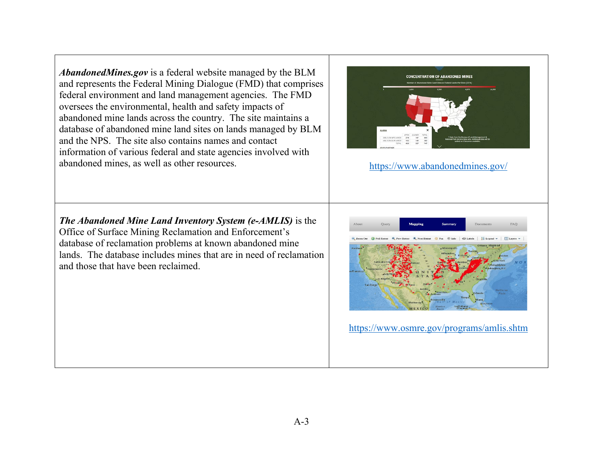*AbandonedMines.gov* is a federal website managed by the BLM and represents the Federal Mining Dialogue (FMD) that comprises federal environment and land management agencies. The FMD oversees the environmental, health and safety impacts of abandoned mine lands across the country. The site maintains a database of abandoned mine land sites on lands managed by BLM and the NPS. The site also contains names and contact information of various federal and state agencies involved with abandoned mines, as well as other resources. https://www.abandonedmines.gov/



*The Abandoned Mine Land Inventory System (e-AMLIS)* is the Office of Surface Mining Reclamation and Enforcement's database of reclamation problems at known abandoned mine lands. The database includes mines that are in need of reclamation and those that have been reclaimed.

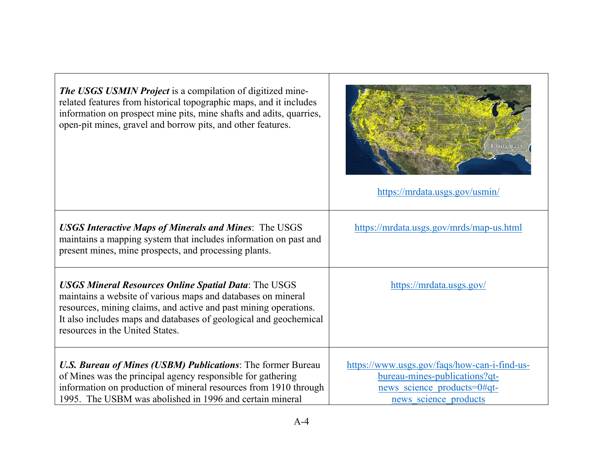| <b>The USGS USMIN Project</b> is a compilation of digitized mine-<br>related features from historical topographic maps, and it includes<br>information on prospect mine pits, mine shafts and adits, quarries,<br>open-pit mines, gravel and borrow pits, and other features.                           | In Progress<br>https://mrdata.usgs.gov/usmin/                                                                                         |
|---------------------------------------------------------------------------------------------------------------------------------------------------------------------------------------------------------------------------------------------------------------------------------------------------------|---------------------------------------------------------------------------------------------------------------------------------------|
| <b>USGS Interactive Maps of Minerals and Mines: The USGS</b><br>maintains a mapping system that includes information on past and<br>present mines, mine prospects, and processing plants.                                                                                                               | https://mrdata.usgs.gov/mrds/map-us.html                                                                                              |
| <b>USGS Mineral Resources Online Spatial Data: The USGS</b><br>maintains a website of various maps and databases on mineral<br>resources, mining claims, and active and past mining operations.<br>It also includes maps and databases of geological and geochemical<br>resources in the United States. | https://mrdata.usgs.gov/                                                                                                              |
| <b>U.S. Bureau of Mines (USBM) Publications:</b> The former Bureau<br>of Mines was the principal agency responsible for gathering<br>information on production of mineral resources from 1910 through<br>1995. The USBM was abolished in 1996 and certain mineral                                       | https://www.usgs.gov/faqs/how-can-i-find-us-<br>bureau-mines-publications?qt-<br>news science products=0#qt-<br>news science products |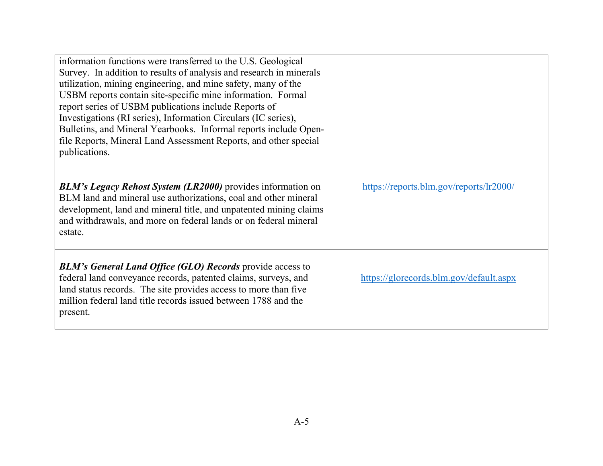| information functions were transferred to the U.S. Geological<br>Survey. In addition to results of analysis and research in minerals<br>utilization, mining engineering, and mine safety, many of the<br>USBM reports contain site-specific mine information. Formal<br>report series of USBM publications include Reports of<br>Investigations (RI series), Information Circulars (IC series),<br>Bulletins, and Mineral Yearbooks. Informal reports include Open-<br>file Reports, Mineral Land Assessment Reports, and other special<br>publications. |                                         |
|----------------------------------------------------------------------------------------------------------------------------------------------------------------------------------------------------------------------------------------------------------------------------------------------------------------------------------------------------------------------------------------------------------------------------------------------------------------------------------------------------------------------------------------------------------|-----------------------------------------|
| <b>BLM's Legacy Rehost System (LR2000)</b> provides information on<br>BLM land and mineral use authorizations, coal and other mineral<br>development, land and mineral title, and unpatented mining claims<br>and withdrawals, and more on federal lands or on federal mineral<br>estate.                                                                                                                                                                                                                                                                | https://reports.blm.gov/reports/lr2000/ |
| <b>BLM's General Land Office (GLO) Records provide access to</b><br>federal land conveyance records, patented claims, surveys, and<br>land status records. The site provides access to more than five<br>million federal land title records issued between 1788 and the<br>present.                                                                                                                                                                                                                                                                      | https://glorecords.blm.gov/default.aspx |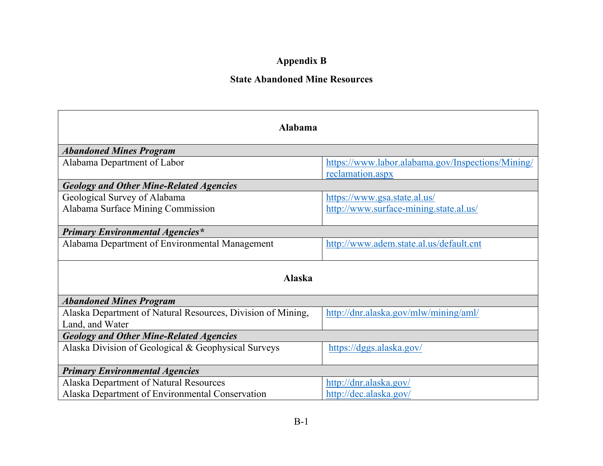# **Appendix B**

## **State Abandoned Mine Resources**

| Alabama                                                     |                                                   |  |  |
|-------------------------------------------------------------|---------------------------------------------------|--|--|
| <b>Abandoned Mines Program</b>                              |                                                   |  |  |
| Alabama Department of Labor                                 | https://www.labor.alabama.gov/Inspections/Mining/ |  |  |
|                                                             | reclamation.aspx                                  |  |  |
| <b>Geology and Other Mine-Related Agencies</b>              |                                                   |  |  |
| Geological Survey of Alabama                                | https://www.gsa.state.al.us/                      |  |  |
| Alabama Surface Mining Commission                           | http://www.surface-mining.state.al.us/            |  |  |
|                                                             |                                                   |  |  |
| <b>Primary Environmental Agencies*</b>                      |                                                   |  |  |
| Alabama Department of Environmental Management              | http://www.adem.state.al.us/default.cnt           |  |  |
|                                                             |                                                   |  |  |
| <b>Alaska</b>                                               |                                                   |  |  |
| <b>Abandoned Mines Program</b>                              |                                                   |  |  |
| Alaska Department of Natural Resources, Division of Mining, | http://dnr.alaska.gov/mlw/mining/aml/             |  |  |
| Land, and Water                                             |                                                   |  |  |
| <b>Geology and Other Mine-Related Agencies</b>              |                                                   |  |  |
| Alaska Division of Geological & Geophysical Surveys         | https://dggs.alaska.gov/                          |  |  |
|                                                             |                                                   |  |  |
| <b>Primary Environmental Agencies</b>                       |                                                   |  |  |
| Alaska Department of Natural Resources                      | http://dnr.alaska.gov/                            |  |  |
| Alaska Department of Environmental Conservation             | http://dec.alaska.gov/                            |  |  |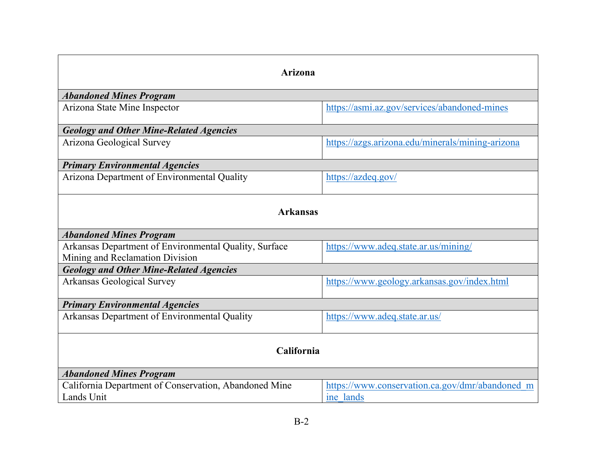| Arizona                                                                                  |                                                              |  |
|------------------------------------------------------------------------------------------|--------------------------------------------------------------|--|
| <b>Abandoned Mines Program</b>                                                           |                                                              |  |
| Arizona State Mine Inspector                                                             | https://asmi.az.gov/services/abandoned-mines                 |  |
| <b>Geology and Other Mine-Related Agencies</b>                                           |                                                              |  |
| Arizona Geological Survey                                                                | https://azgs.arizona.edu/minerals/mining-arizona             |  |
| <b>Primary Environmental Agencies</b>                                                    |                                                              |  |
| Arizona Department of Environmental Quality                                              | https://azdeq.gov/                                           |  |
| <b>Arkansas</b>                                                                          |                                                              |  |
| <b>Abandoned Mines Program</b>                                                           |                                                              |  |
| Arkansas Department of Environmental Quality, Surface<br>Mining and Reclamation Division | https://www.adeq.state.ar.us/mining/                         |  |
| <b>Geology and Other Mine-Related Agencies</b>                                           |                                                              |  |
| <b>Arkansas Geological Survey</b>                                                        | https://www.geology.arkansas.gov/index.html                  |  |
| <b>Primary Environmental Agencies</b>                                                    |                                                              |  |
| Arkansas Department of Environmental Quality                                             | https://www.adeq.state.ar.us/                                |  |
| California                                                                               |                                                              |  |
| <b>Abandoned Mines Program</b>                                                           |                                                              |  |
| California Department of Conservation, Abandoned Mine<br>Lands Unit                      | https://www.conservation.ca.gov/dmr/abandoned m<br>ine lands |  |
|                                                                                          |                                                              |  |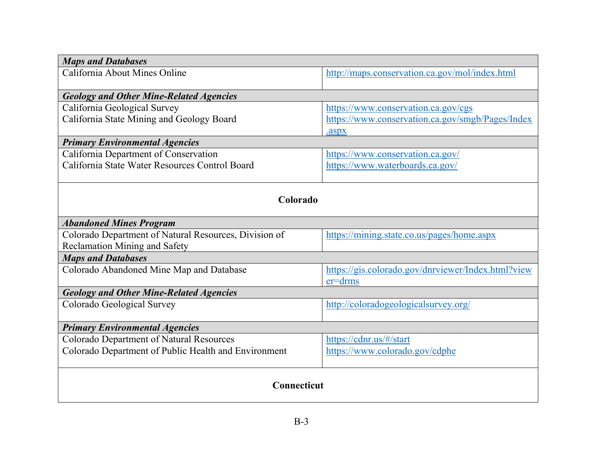| <b>Maps and Databases</b>                             |                                                    |  |
|-------------------------------------------------------|----------------------------------------------------|--|
| California About Mines Online                         | http://maps.conservation.ca.gov/mol/index.html     |  |
| <b>Geology and Other Mine-Related Agencies</b>        |                                                    |  |
| California Geological Survey                          | https://www.conservation.ca.gov/cgs                |  |
| California State Mining and Geology Board             | https://www.conservation.ca.gov/smgb/Pages/Index   |  |
|                                                       | .aspx                                              |  |
| <b>Primary Environmental Agencies</b>                 |                                                    |  |
| California Department of Conservation                 | https://www.conservation.ca.gov/                   |  |
| California State Water Resources Control Board        | https://www.waterboards.ca.gov/                    |  |
|                                                       |                                                    |  |
| Colorado                                              |                                                    |  |
| <b>Abandoned Mines Program</b>                        |                                                    |  |
| Colorado Department of Natural Resources, Division of | https://mining.state.co.us/pages/home.aspx         |  |
| Reclamation Mining and Safety                         |                                                    |  |
| <b>Maps and Databases</b>                             |                                                    |  |
| Colorado Abandoned Mine Map and Database              | https://gis.colorado.gov/dnrviewer/Index.html?view |  |
|                                                       | $er=drms$                                          |  |
| <b>Geology and Other Mine-Related Agencies</b>        |                                                    |  |
| Colorado Geological Survey                            | http://coloradogeologicalsurvey.org/               |  |
| <b>Primary Environmental Agencies</b>                 |                                                    |  |
| Colorado Department of Natural Resources              | https://cdnr.us/#/start                            |  |
| Colorado Department of Public Health and Environment  | https://www.colorado.gov/cdphe                     |  |
|                                                       |                                                    |  |
| <b>Connecticut</b>                                    |                                                    |  |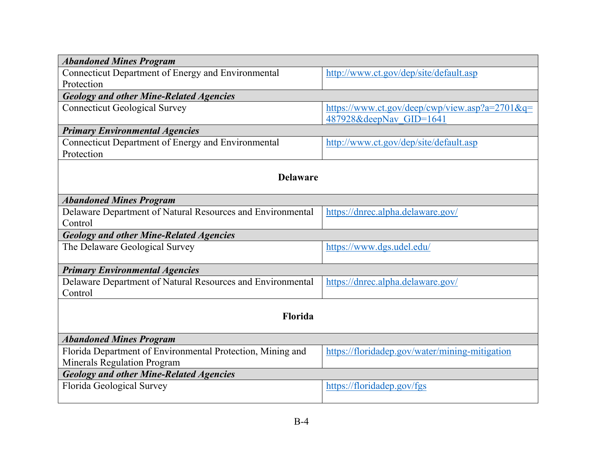| <b>Abandoned Mines Program</b>                             |                                                |  |
|------------------------------------------------------------|------------------------------------------------|--|
| Connecticut Department of Energy and Environmental         | http://www.ct.gov/dep/site/default.asp         |  |
| Protection                                                 |                                                |  |
| <b>Geology and other Mine-Related Agencies</b>             |                                                |  |
| <b>Connecticut Geological Survey</b>                       | https://www.ct.gov/deep/cwp/view.asp?a=2701&q= |  |
|                                                            | 487928&deepNav GID=1641                        |  |
| <b>Primary Environmental Agencies</b>                      |                                                |  |
| Connecticut Department of Energy and Environmental         | http://www.ct.gov/dep/site/default.asp         |  |
| Protection                                                 |                                                |  |
|                                                            |                                                |  |
| <b>Delaware</b>                                            |                                                |  |
|                                                            |                                                |  |
| <b>Abandoned Mines Program</b>                             |                                                |  |
| Delaware Department of Natural Resources and Environmental | https://dnrec.alpha.delaware.gov/              |  |
| Control                                                    |                                                |  |
| <b>Geology and other Mine-Related Agencies</b>             |                                                |  |
| The Delaware Geological Survey                             | https://www.dgs.udel.edu/                      |  |
|                                                            |                                                |  |
| <b>Primary Environmental Agencies</b>                      |                                                |  |
| Delaware Department of Natural Resources and Environmental | https://dnrec.alpha.delaware.gov/              |  |
| Control                                                    |                                                |  |
|                                                            |                                                |  |
| Florida                                                    |                                                |  |
|                                                            |                                                |  |
| <b>Abandoned Mines Program</b>                             |                                                |  |
| Florida Department of Environmental Protection, Mining and | https://floridadep.gov/water/mining-mitigation |  |
| <b>Minerals Regulation Program</b>                         |                                                |  |
| <b>Geology and other Mine-Related Agencies</b>             |                                                |  |
| Florida Geological Survey                                  | https://floridadep.gov/fgs                     |  |
|                                                            |                                                |  |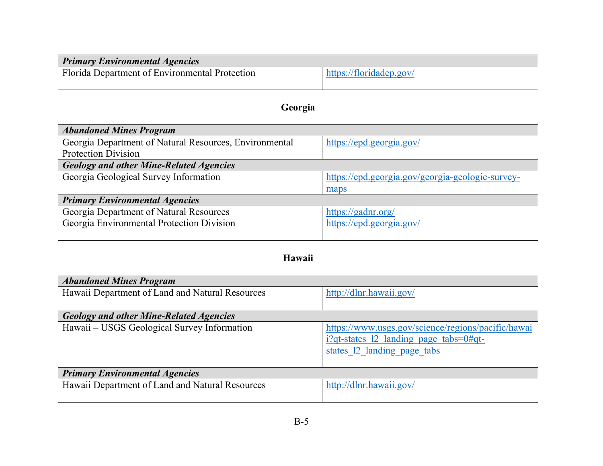| <b>Primary Environmental Agencies</b>                                                |                                                                                                                                |  |  |
|--------------------------------------------------------------------------------------|--------------------------------------------------------------------------------------------------------------------------------|--|--|
| Florida Department of Environmental Protection                                       | https://floridadep.gov/                                                                                                        |  |  |
| Georgia                                                                              |                                                                                                                                |  |  |
| <b>Abandoned Mines Program</b>                                                       |                                                                                                                                |  |  |
| Georgia Department of Natural Resources, Environmental<br><b>Protection Division</b> | https://epd.georgia.gov/                                                                                                       |  |  |
| <b>Geology and other Mine-Related Agencies</b>                                       |                                                                                                                                |  |  |
| Georgia Geological Survey Information                                                | https://epd.georgia.gov/georgia-geologic-survey-<br>maps                                                                       |  |  |
| <b>Primary Environmental Agencies</b>                                                |                                                                                                                                |  |  |
| Georgia Department of Natural Resources<br>Georgia Environmental Protection Division | https://gadnr.org/<br>https://epd.georgia.gov/                                                                                 |  |  |
| Hawaii                                                                               |                                                                                                                                |  |  |
| <b>Abandoned Mines Program</b>                                                       |                                                                                                                                |  |  |
| Hawaii Department of Land and Natural Resources                                      | http://dlnr.hawaii.gov/                                                                                                        |  |  |
| <b>Geology and other Mine-Related Agencies</b>                                       |                                                                                                                                |  |  |
| Hawaii - USGS Geological Survey Information                                          | https://www.usgs.gov/science/regions/pacific/hawai<br>$i$ ?qt-states 12 landing page tabs=0#qt-<br>states 12 landing page tabs |  |  |
| <b>Primary Environmental Agencies</b>                                                |                                                                                                                                |  |  |
| Hawaii Department of Land and Natural Resources                                      | http://dlnr.hawaii.gov/                                                                                                        |  |  |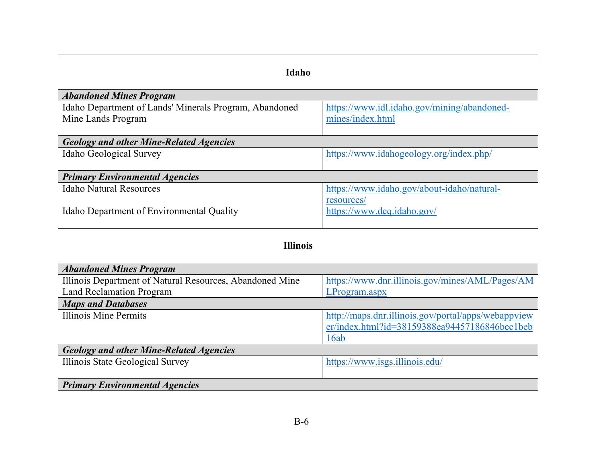| <b>Idaho</b>                                             |                                                     |  |  |
|----------------------------------------------------------|-----------------------------------------------------|--|--|
| <b>Abandoned Mines Program</b>                           |                                                     |  |  |
| Idaho Department of Lands' Minerals Program, Abandoned   | https://www.idl.idaho.gov/mining/abandoned-         |  |  |
| Mine Lands Program                                       | mines/index.html                                    |  |  |
|                                                          |                                                     |  |  |
| <b>Geology and other Mine-Related Agencies</b>           |                                                     |  |  |
| <b>Idaho Geological Survey</b>                           | https://www.idahogeology.org/index.php/             |  |  |
| <b>Primary Environmental Agencies</b>                    |                                                     |  |  |
| <b>Idaho Natural Resources</b>                           | https://www.idaho.gov/about-idaho/natural-          |  |  |
|                                                          | resources/                                          |  |  |
| Idaho Department of Environmental Quality                | https://www.deq.idaho.gov/                          |  |  |
|                                                          |                                                     |  |  |
| <b>Illinois</b>                                          |                                                     |  |  |
| <b>Abandoned Mines Program</b>                           |                                                     |  |  |
| Illinois Department of Natural Resources, Abandoned Mine | https://www.dnr.illinois.gov/mines/AML/Pages/AM     |  |  |
| <b>Land Reclamation Program</b>                          | LProgram.aspx                                       |  |  |
| <b>Maps and Databases</b>                                |                                                     |  |  |
| <b>Illinois Mine Permits</b>                             | http://maps.dnr.illinois.gov/portal/apps/webappview |  |  |
|                                                          | er/index.html?id=38159388ea94457186846bec1beb       |  |  |
|                                                          | 16ab                                                |  |  |
| <b>Geology and other Mine-Related Agencies</b>           |                                                     |  |  |
| Illinois State Geological Survey                         | https://www.isgs.illinois.edu/                      |  |  |
|                                                          |                                                     |  |  |
| <b>Primary Environmental Agencies</b>                    |                                                     |  |  |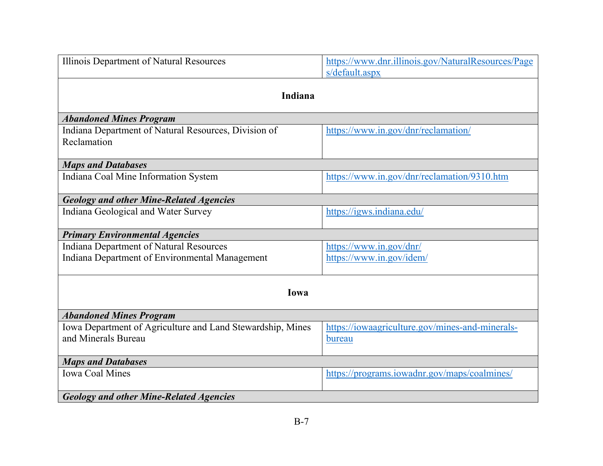| Illinois Department of Natural Resources                            | https://www.dnr.illinois.gov/NaturalResources/Page<br>s/default.aspx |  |  |
|---------------------------------------------------------------------|----------------------------------------------------------------------|--|--|
| Indiana                                                             |                                                                      |  |  |
| <b>Abandoned Mines Program</b>                                      |                                                                      |  |  |
| Indiana Department of Natural Resources, Division of<br>Reclamation | https://www.in.gov/dnr/reclamation/                                  |  |  |
| <b>Maps and Databases</b>                                           |                                                                      |  |  |
| Indiana Coal Mine Information System                                | https://www.in.gov/dnr/reclamation/9310.htm                          |  |  |
| <b>Geology and other Mine-Related Agencies</b>                      |                                                                      |  |  |
| Indiana Geological and Water Survey                                 | https://igws.indiana.edu/                                            |  |  |
| <b>Primary Environmental Agencies</b>                               |                                                                      |  |  |
| <b>Indiana Department of Natural Resources</b>                      | https://www.in.gov/dnr/                                              |  |  |
| Indiana Department of Environmental Management                      | https://www.in.gov/idem/                                             |  |  |
| Iowa                                                                |                                                                      |  |  |
| <b>Abandoned Mines Program</b>                                      |                                                                      |  |  |
| Iowa Department of Agriculture and Land Stewardship, Mines          | https://iowaagriculture.gov/mines-and-minerals-                      |  |  |
| and Minerals Bureau                                                 | bureau                                                               |  |  |
| <b>Maps and Databases</b>                                           |                                                                      |  |  |
| <b>Iowa Coal Mines</b>                                              | https://programs.iowadnr.gov/maps/coalmines/                         |  |  |
| <b>Geology and other Mine-Related Agencies</b>                      |                                                                      |  |  |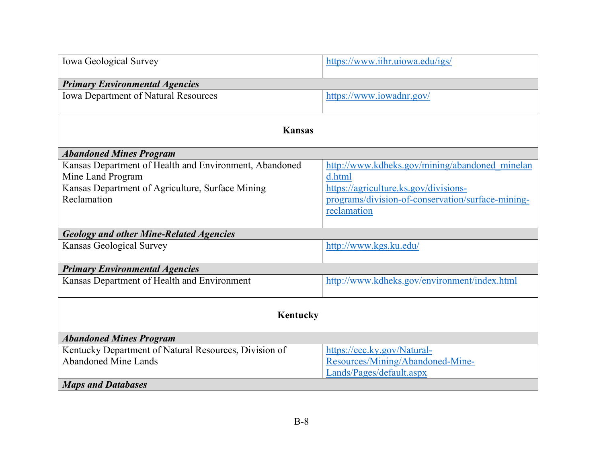| Iowa Geological Survey                                                                                                                         | https://www.iihr.uiowa.edu/igs/                                                                                                                                       |  |
|------------------------------------------------------------------------------------------------------------------------------------------------|-----------------------------------------------------------------------------------------------------------------------------------------------------------------------|--|
| <b>Primary Environmental Agencies</b>                                                                                                          |                                                                                                                                                                       |  |
| <b>Iowa Department of Natural Resources</b>                                                                                                    | https://www.iowadnr.gov/                                                                                                                                              |  |
| <b>Kansas</b>                                                                                                                                  |                                                                                                                                                                       |  |
| <b>Abandoned Mines Program</b>                                                                                                                 |                                                                                                                                                                       |  |
| Kansas Department of Health and Environment, Abandoned<br>Mine Land Program<br>Kansas Department of Agriculture, Surface Mining<br>Reclamation | http://www.kdheks.gov/mining/abandoned minelan<br>d.html<br>https://agriculture.ks.gov/divisions-<br>programs/division-of-conservation/surface-mining-<br>reclamation |  |
| <b>Geology and other Mine-Related Agencies</b>                                                                                                 |                                                                                                                                                                       |  |
| <b>Kansas Geological Survey</b>                                                                                                                | http://www.kgs.ku.edu/                                                                                                                                                |  |
| <b>Primary Environmental Agencies</b>                                                                                                          |                                                                                                                                                                       |  |
| Kansas Department of Health and Environment                                                                                                    | http://www.kdheks.gov/environment/index.html                                                                                                                          |  |
| <b>Kentucky</b>                                                                                                                                |                                                                                                                                                                       |  |
| <b>Abandoned Mines Program</b>                                                                                                                 |                                                                                                                                                                       |  |
| Kentucky Department of Natural Resources, Division of<br><b>Abandoned Mine Lands</b><br><b>Maps and Databases</b>                              | https://eec.ky.gov/Natural-<br>Resources/Mining/Abandoned-Mine-<br>Lands/Pages/default.aspx                                                                           |  |
|                                                                                                                                                |                                                                                                                                                                       |  |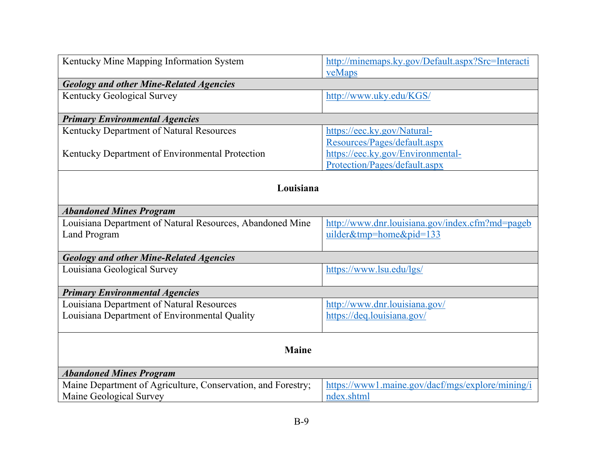| Kentucky Mine Mapping Information System                     | http://minemaps.ky.gov/Default.aspx?Src=Interacti |
|--------------------------------------------------------------|---------------------------------------------------|
| <b>Geology and other Mine-Related Agencies</b>               | veMaps                                            |
| <b>Kentucky Geological Survey</b>                            | http://www.uky.edu/KGS/                           |
|                                                              |                                                   |
| <b>Primary Environmental Agencies</b>                        |                                                   |
| Kentucky Department of Natural Resources                     | https://eec.ky.gov/Natural-                       |
|                                                              | Resources/Pages/default.aspx                      |
| Kentucky Department of Environmental Protection              | https://eec.ky.gov/Environmental-                 |
|                                                              | Protection/Pages/default.aspx                     |
|                                                              |                                                   |
| Louisiana                                                    |                                                   |
|                                                              |                                                   |
| <b>Abandoned Mines Program</b>                               |                                                   |
| Louisiana Department of Natural Resources, Abandoned Mine    | http://www.dnr.louisiana.gov/index.cfm?md=pageb   |
| <b>Land Program</b>                                          | uilder&tmp=home&pid=133                           |
| <b>Geology and other Mine-Related Agencies</b>               |                                                   |
| Louisiana Geological Survey                                  | https://www.lsu.edu/lgs/                          |
|                                                              |                                                   |
| <b>Primary Environmental Agencies</b>                        |                                                   |
| Louisiana Department of Natural Resources                    | http://www.dnr.louisiana.gov/                     |
| Louisiana Department of Environmental Quality                | https://deq.louisiana.gov/                        |
|                                                              |                                                   |
|                                                              |                                                   |
| <b>Maine</b>                                                 |                                                   |
| <b>Abandoned Mines Program</b>                               |                                                   |
| Maine Department of Agriculture, Conservation, and Forestry; | https://www1.maine.gov/dacf/mgs/explore/mining/i  |
| Maine Geological Survey                                      | ndex.shtml                                        |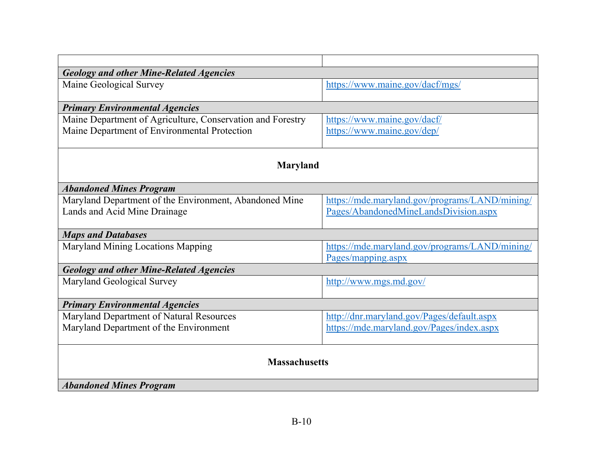| <b>Geology and other Mine-Related Agencies</b>             |                                                                      |  |
|------------------------------------------------------------|----------------------------------------------------------------------|--|
| Maine Geological Survey                                    | https://www.maine.gov/dacf/mgs/                                      |  |
| <b>Primary Environmental Agencies</b>                      |                                                                      |  |
| Maine Department of Agriculture, Conservation and Forestry | https://www.maine.gov/dacf/                                          |  |
| Maine Department of Environmental Protection               | https://www.maine.gov/dep/                                           |  |
| <b>Maryland</b>                                            |                                                                      |  |
| <b>Abandoned Mines Program</b>                             |                                                                      |  |
| Maryland Department of the Environment, Abandoned Mine     | https://mde.maryland.gov/programs/LAND/mining/                       |  |
| Lands and Acid Mine Drainage                               | Pages/AbandonedMineLandsDivision.aspx                                |  |
| <b>Maps and Databases</b>                                  |                                                                      |  |
| Maryland Mining Locations Mapping                          | https://mde.maryland.gov/programs/LAND/mining/<br>Pages/mapping.aspx |  |
| <b>Geology and other Mine-Related Agencies</b>             |                                                                      |  |
| Maryland Geological Survey                                 | http://www.mgs.md.gov/                                               |  |
| <b>Primary Environmental Agencies</b>                      |                                                                      |  |
| Maryland Department of Natural Resources                   | http://dnr.maryland.gov/Pages/default.aspx                           |  |
| Maryland Department of the Environment                     | https://mde.maryland.gov/Pages/index.aspx                            |  |
| <b>Massachusetts</b>                                       |                                                                      |  |
| <b>Abandoned Mines Program</b>                             |                                                                      |  |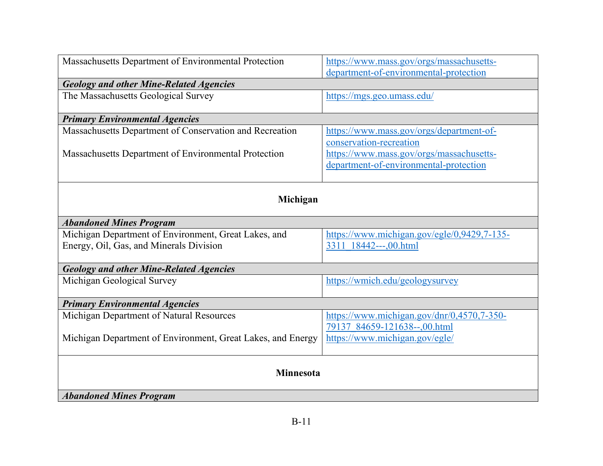| Massachusetts Department of Environmental Protection        | https://www.mass.gov/orgs/massachusetts-<br>department-of-environmental-protection |  |
|-------------------------------------------------------------|------------------------------------------------------------------------------------|--|
| <b>Geology and other Mine-Related Agencies</b>              |                                                                                    |  |
| The Massachusetts Geological Survey                         | https://mgs.geo.umass.edu/                                                         |  |
| <b>Primary Environmental Agencies</b>                       |                                                                                    |  |
| Massachusetts Department of Conservation and Recreation     | https://www.mass.gov/orgs/department-of-                                           |  |
|                                                             | conservation-recreation                                                            |  |
| Massachusetts Department of Environmental Protection        | https://www.mass.gov/orgs/massachusetts-                                           |  |
|                                                             | department-of-environmental-protection                                             |  |
| Michigan                                                    |                                                                                    |  |
|                                                             |                                                                                    |  |
| <b>Abandoned Mines Program</b>                              |                                                                                    |  |
| Michigan Department of Environment, Great Lakes, and        | https://www.michigan.gov/egle/0,9429,7-135-                                        |  |
| Energy, Oil, Gas, and Minerals Division                     | 3311 18442---,00.html                                                              |  |
| <b>Geology and other Mine-Related Agencies</b>              |                                                                                    |  |
| Michigan Geological Survey                                  | https://wmich.edu/geologysurvey                                                    |  |
| <b>Primary Environmental Agencies</b>                       |                                                                                    |  |
| Michigan Department of Natural Resources                    | https://www.michigan.gov/dnr/0,4570,7-350-                                         |  |
|                                                             | 79137 84659-121638--,00.html                                                       |  |
| Michigan Department of Environment, Great Lakes, and Energy | https://www.michigan.gov/egle/                                                     |  |
| <b>Minnesota</b><br><b>Abandoned Mines Program</b>          |                                                                                    |  |
|                                                             |                                                                                    |  |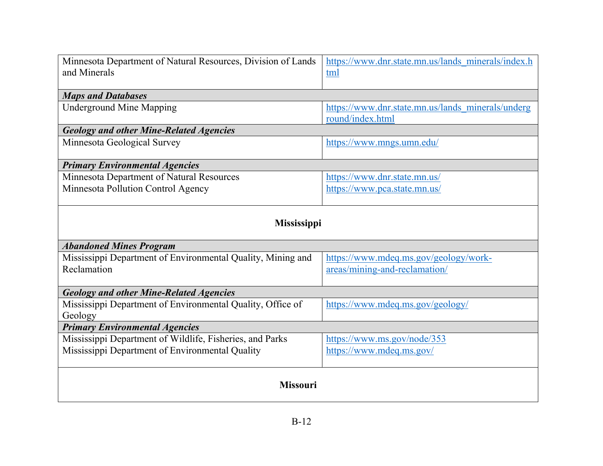| Minnesota Department of Natural Resources, Division of Lands | https://www.dnr.state.mn.us/lands minerals/index.h |  |
|--------------------------------------------------------------|----------------------------------------------------|--|
| and Minerals                                                 | tml                                                |  |
|                                                              |                                                    |  |
| <b>Maps and Databases</b>                                    |                                                    |  |
| <b>Underground Mine Mapping</b>                              | https://www.dnr.state.mn.us/lands minerals/underg  |  |
|                                                              | round/index.html                                   |  |
| <b>Geology and other Mine-Related Agencies</b>               |                                                    |  |
| Minnesota Geological Survey                                  | https://www.mngs.umn.edu/                          |  |
|                                                              |                                                    |  |
| <b>Primary Environmental Agencies</b>                        |                                                    |  |
| Minnesota Department of Natural Resources                    | https://www.dnr.state.mn.us/                       |  |
| Minnesota Pollution Control Agency                           | https://www.pca.state.mn.us/                       |  |
|                                                              |                                                    |  |
| Mississippi                                                  |                                                    |  |
|                                                              |                                                    |  |
| <b>Abandoned Mines Program</b>                               |                                                    |  |
| Mississippi Department of Environmental Quality, Mining and  | https://www.mdeq.ms.gov/geology/work-              |  |
| Reclamation                                                  | areas/mining-and-reclamation/                      |  |
|                                                              |                                                    |  |
| <b>Geology and other Mine-Related Agencies</b>               |                                                    |  |
| Mississippi Department of Environmental Quality, Office of   | https://www.mdeq.ms.gov/geology/                   |  |
| Geology                                                      |                                                    |  |
| <b>Primary Environmental Agencies</b>                        |                                                    |  |
| Mississippi Department of Wildlife, Fisheries, and Parks     | https://www.ms.gov/node/353                        |  |
| Mississippi Department of Environmental Quality              | https://www.mdeq.ms.gov/                           |  |
|                                                              |                                                    |  |
|                                                              |                                                    |  |
| <b>Missouri</b>                                              |                                                    |  |
|                                                              |                                                    |  |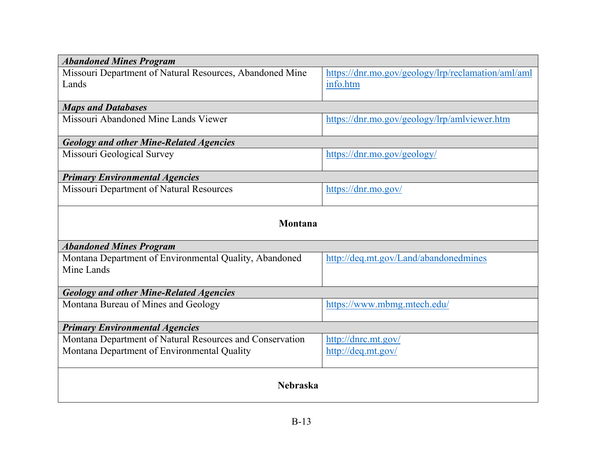| <b>Abandoned Mines Program</b>                                       |                                                    |  |
|----------------------------------------------------------------------|----------------------------------------------------|--|
| Missouri Department of Natural Resources, Abandoned Mine             | https://dnr.mo.gov/geology/lrp/reclamation/aml/aml |  |
| Lands                                                                | info.htm                                           |  |
| <b>Maps and Databases</b>                                            |                                                    |  |
| Missouri Abandoned Mine Lands Viewer                                 | https://dnr.mo.gov/geology/lrp/amlviewer.htm       |  |
| <b>Geology and other Mine-Related Agencies</b>                       |                                                    |  |
| Missouri Geological Survey                                           | https://dnr.mo.gov/geology/                        |  |
| <b>Primary Environmental Agencies</b>                                |                                                    |  |
| Missouri Department of Natural Resources                             | https://dnr.mo.gov/                                |  |
| Montana                                                              |                                                    |  |
| <b>Abandoned Mines Program</b>                                       |                                                    |  |
| Montana Department of Environmental Quality, Abandoned<br>Mine Lands | http://deq.mt.gov/Land/abandonedmines              |  |
| <b>Geology and other Mine-Related Agencies</b>                       |                                                    |  |
| Montana Bureau of Mines and Geology                                  | https://www.mbmg.mtech.edu/                        |  |
| <b>Primary Environmental Agencies</b>                                |                                                    |  |
| Montana Department of Natural Resources and Conservation             | http://dnrc.mt.gov/                                |  |
| Montana Department of Environmental Quality                          | http://deq.mt.gov/                                 |  |
| <b>Nebraska</b>                                                      |                                                    |  |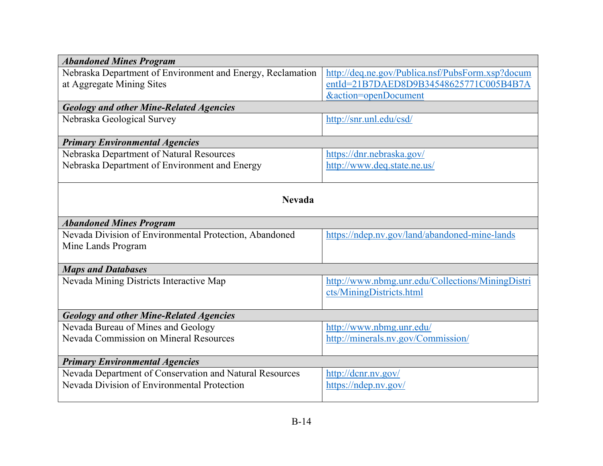| <b>Abandoned Mines Program</b>                             |                                                  |  |
|------------------------------------------------------------|--------------------------------------------------|--|
| Nebraska Department of Environment and Energy, Reclamation | http://deq.ne.gov/Publica.nsf/PubsForm.xsp?docum |  |
| at Aggregate Mining Sites                                  | entId=21B7DAED8D9B34548625771C005B4B7A           |  |
|                                                            | &action=openDocument                             |  |
| <b>Geology and other Mine-Related Agencies</b>             |                                                  |  |
| Nebraska Geological Survey                                 | http://snr.unl.edu/csd/                          |  |
| <b>Primary Environmental Agencies</b>                      |                                                  |  |
| Nebraska Department of Natural Resources                   | https://dnr.nebraska.gov/                        |  |
| Nebraska Department of Environment and Energy              | http://www.deq.state.ne.us/                      |  |
|                                                            |                                                  |  |
|                                                            |                                                  |  |
| <b>Nevada</b>                                              |                                                  |  |
| <b>Abandoned Mines Program</b>                             |                                                  |  |
| Nevada Division of Environmental Protection, Abandoned     | https://ndep.nv.gov/land/abandoned-mine-lands    |  |
| Mine Lands Program                                         |                                                  |  |
|                                                            |                                                  |  |
| <b>Maps and Databases</b>                                  |                                                  |  |
| Nevada Mining Districts Interactive Map                    | http://www.nbmg.unr.edu/Collections/MiningDistri |  |
|                                                            | cts/MiningDistricts.html                         |  |
|                                                            |                                                  |  |
| <b>Geology and other Mine-Related Agencies</b>             |                                                  |  |
| Nevada Bureau of Mines and Geology                         | http://www.nbmg.unr.edu/                         |  |
| Nevada Commission on Mineral Resources                     | http://minerals.nv.gov/Commission/               |  |
|                                                            |                                                  |  |
| <b>Primary Environmental Agencies</b>                      |                                                  |  |
| Nevada Department of Conservation and Natural Resources    | http://dcnr.nv.gov/                              |  |
| Nevada Division of Environmental Protection                | https://ndep.nv.gov/                             |  |
|                                                            |                                                  |  |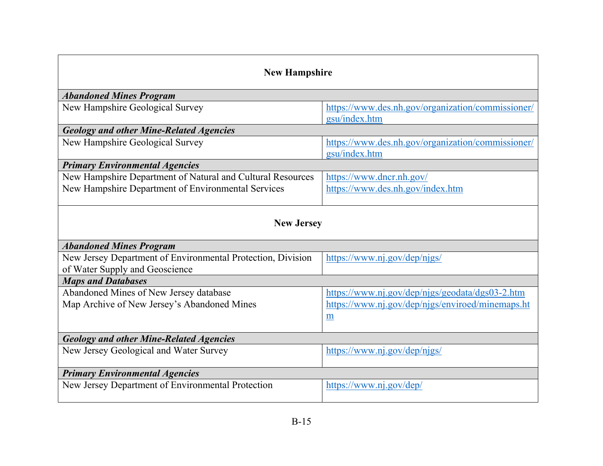| <b>New Hampshire</b>                                                                                             |                                                                                                          |  |
|------------------------------------------------------------------------------------------------------------------|----------------------------------------------------------------------------------------------------------|--|
| <b>Abandoned Mines Program</b>                                                                                   |                                                                                                          |  |
| New Hampshire Geological Survey                                                                                  | https://www.des.nh.gov/organization/commissioner/<br>gsu/index.htm                                       |  |
| <b>Geology and other Mine-Related Agencies</b>                                                                   |                                                                                                          |  |
| New Hampshire Geological Survey                                                                                  | https://www.des.nh.gov/organization/commissioner/<br>gsu/index.htm                                       |  |
| <b>Primary Environmental Agencies</b>                                                                            |                                                                                                          |  |
| New Hampshire Department of Natural and Cultural Resources<br>New Hampshire Department of Environmental Services | https://www.dncr.nh.gov/<br>https://www.des.nh.gov/index.htm                                             |  |
| <b>New Jersey</b>                                                                                                |                                                                                                          |  |
| <b>Abandoned Mines Program</b>                                                                                   |                                                                                                          |  |
| New Jersey Department of Environmental Protection, Division<br>of Water Supply and Geoscience                    | https://www.nj.gov/dep/njgs/                                                                             |  |
| <b>Maps and Databases</b>                                                                                        |                                                                                                          |  |
| Abandoned Mines of New Jersey database<br>Map Archive of New Jersey's Abandoned Mines                            | https://www.nj.gov/dep/njgs/geodata/dgs03-2.htm<br>https://www.nj.gov/dep/njgs/enviroed/minemaps.ht<br>m |  |
| <b>Geology and other Mine-Related Agencies</b>                                                                   |                                                                                                          |  |
| New Jersey Geological and Water Survey                                                                           | https://www.nj.gov/dep/njgs/                                                                             |  |
| <b>Primary Environmental Agencies</b>                                                                            |                                                                                                          |  |
| New Jersey Department of Environmental Protection                                                                | https://www.nj.gov/dep/                                                                                  |  |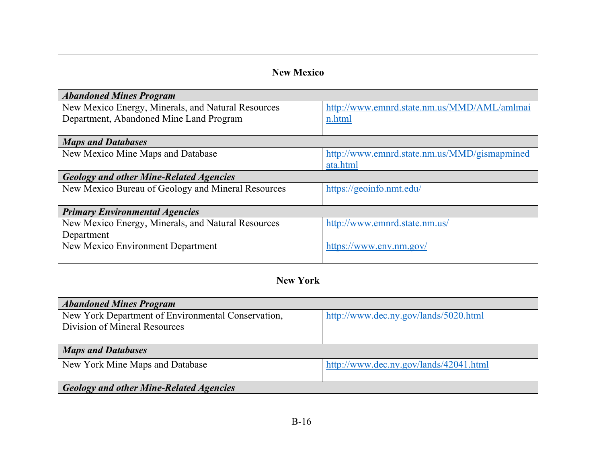| <b>New Mexico</b>                                  |                                              |  |
|----------------------------------------------------|----------------------------------------------|--|
|                                                    |                                              |  |
| <b>Abandoned Mines Program</b>                     |                                              |  |
| New Mexico Energy, Minerals, and Natural Resources | http://www.emnrd.state.nm.us/MMD/AML/amlmai  |  |
| Department, Abandoned Mine Land Program            | n.html                                       |  |
|                                                    |                                              |  |
| <b>Maps and Databases</b>                          |                                              |  |
| New Mexico Mine Maps and Database                  | http://www.emnrd.state.nm.us/MMD/gismapmined |  |
|                                                    | ata.html                                     |  |
| <b>Geology and other Mine-Related Agencies</b>     |                                              |  |
| New Mexico Bureau of Geology and Mineral Resources | https://geoinfo.nmt.edu/                     |  |
|                                                    |                                              |  |
| <b>Primary Environmental Agencies</b>              |                                              |  |
| New Mexico Energy, Minerals, and Natural Resources | http://www.emnrd.state.nm.us/                |  |
| Department                                         |                                              |  |
| New Mexico Environment Department                  | https://www.env.nm.gov/                      |  |
|                                                    |                                              |  |
|                                                    |                                              |  |
| <b>New York</b>                                    |                                              |  |
|                                                    |                                              |  |
| <b>Abandoned Mines Program</b>                     |                                              |  |
| New York Department of Environmental Conservation, | http://www.dec.ny.gov/lands/5020.html        |  |
| Division of Mineral Resources                      |                                              |  |
|                                                    |                                              |  |
| <b>Maps and Databases</b>                          |                                              |  |
| New York Mine Maps and Database                    | http://www.dec.ny.gov/lands/42041.html       |  |
|                                                    |                                              |  |
| <b>Geology and other Mine-Related Agencies</b>     |                                              |  |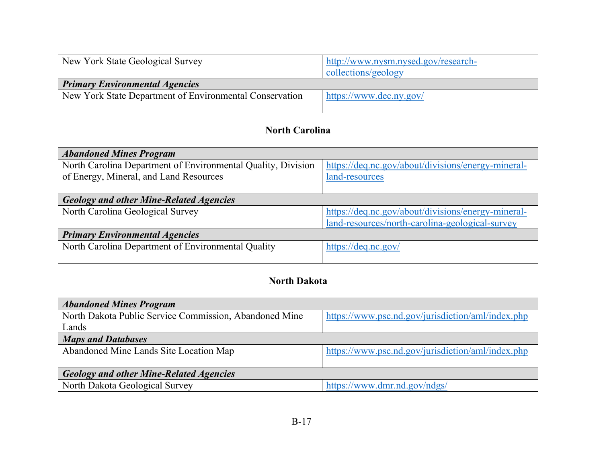| New York State Geological Survey                             | http://www.nysm.nysed.gov/research-                                                                   |  |
|--------------------------------------------------------------|-------------------------------------------------------------------------------------------------------|--|
|                                                              | collections/geology                                                                                   |  |
| <b>Primary Environmental Agencies</b>                        |                                                                                                       |  |
| New York State Department of Environmental Conservation      | https://www.dec.ny.gov/                                                                               |  |
|                                                              |                                                                                                       |  |
| <b>North Carolina</b>                                        |                                                                                                       |  |
| <b>Abandoned Mines Program</b>                               |                                                                                                       |  |
| North Carolina Department of Environmental Quality, Division | https://deq.nc.gov/about/divisions/energy-mineral-                                                    |  |
| of Energy, Mineral, and Land Resources                       | land-resources                                                                                        |  |
|                                                              |                                                                                                       |  |
| <b>Geology and other Mine-Related Agencies</b>               |                                                                                                       |  |
| North Carolina Geological Survey                             | https://deq.nc.gov/about/divisions/energy-mineral-<br>land-resources/north-carolina-geological-survey |  |
| <b>Primary Environmental Agencies</b>                        |                                                                                                       |  |
|                                                              |                                                                                                       |  |
| North Carolina Department of Environmental Quality           | https://deq.nc.gov/                                                                                   |  |
|                                                              |                                                                                                       |  |
| <b>North Dakota</b>                                          |                                                                                                       |  |
| <b>Abandoned Mines Program</b>                               |                                                                                                       |  |
| North Dakota Public Service Commission, Abandoned Mine       | https://www.psc.nd.gov/jurisdiction/aml/index.php                                                     |  |
| Lands                                                        |                                                                                                       |  |
| <b>Maps and Databases</b>                                    |                                                                                                       |  |
| Abandoned Mine Lands Site Location Map                       | https://www.psc.nd.gov/jurisdiction/aml/index.php                                                     |  |
| <b>Geology and other Mine-Related Agencies</b>               |                                                                                                       |  |
|                                                              |                                                                                                       |  |
| North Dakota Geological Survey                               | https://www.dmr.nd.gov/ndgs/                                                                          |  |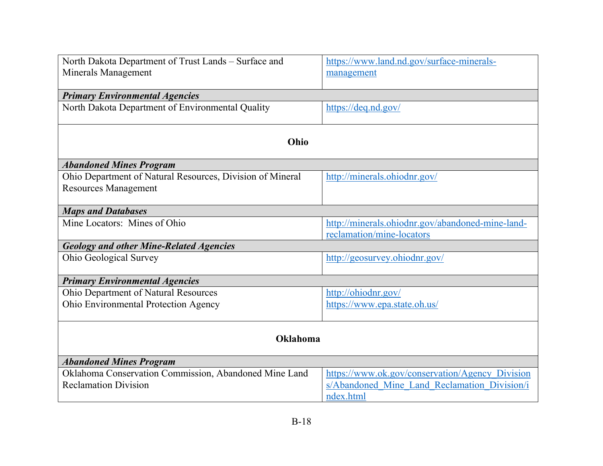| North Dakota Department of Trust Lands - Surface and      | https://www.land.nd.gov/surface-minerals-        |  |
|-----------------------------------------------------------|--------------------------------------------------|--|
| <b>Minerals Management</b>                                | management                                       |  |
|                                                           |                                                  |  |
| <b>Primary Environmental Agencies</b>                     |                                                  |  |
| North Dakota Department of Environmental Quality          | https://deq.nd.gov/                              |  |
|                                                           |                                                  |  |
| Ohio                                                      |                                                  |  |
| <b>Abandoned Mines Program</b>                            |                                                  |  |
| Ohio Department of Natural Resources, Division of Mineral | http://minerals.ohiodnr.gov/                     |  |
| <b>Resources Management</b>                               |                                                  |  |
|                                                           |                                                  |  |
| <b>Maps and Databases</b>                                 |                                                  |  |
| Mine Locators: Mines of Ohio                              | http://minerals.ohiodnr.gov/abandoned-mine-land- |  |
|                                                           | reclamation/mine-locators                        |  |
| <b>Geology and other Mine-Related Agencies</b>            |                                                  |  |
| Ohio Geological Survey                                    | http://geosurvey.ohiodnr.gov/                    |  |
| <b>Primary Environmental Agencies</b>                     |                                                  |  |
| Ohio Department of Natural Resources                      | http://ohiodnr.gov/                              |  |
| Ohio Environmental Protection Agency                      | https://www.epa.state.oh.us/                     |  |
|                                                           |                                                  |  |
|                                                           |                                                  |  |
| <b>Oklahoma</b>                                           |                                                  |  |
| <b>Abandoned Mines Program</b>                            |                                                  |  |
| Oklahoma Conservation Commission, Abandoned Mine Land     | https://www.ok.gov/conservation/Agency Division  |  |
| <b>Reclamation Division</b>                               | s/Abandoned Mine Land Reclamation Division/i     |  |
|                                                           | ndex.html                                        |  |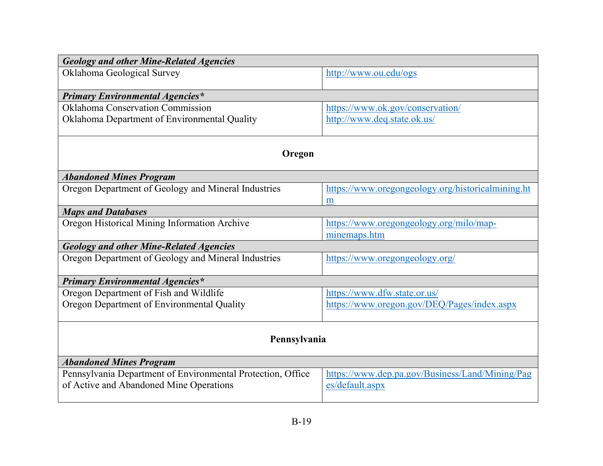| <b>Geology and other Mine-Related Agencies</b>              |                                                   |  |
|-------------------------------------------------------------|---------------------------------------------------|--|
| Oklahoma Geological Survey                                  | http://www.ou.edu/ogs                             |  |
|                                                             |                                                   |  |
| <b>Primary Environmental Agencies*</b>                      |                                                   |  |
| <b>Oklahoma Conservation Commission</b>                     | https://www.ok.gov/conservation/                  |  |
| Oklahoma Department of Environmental Quality                | http://www.deq.state.ok.us/                       |  |
| Oregon                                                      |                                                   |  |
| <b>Abandoned Mines Program</b>                              |                                                   |  |
| Oregon Department of Geology and Mineral Industries         | https://www.oregongeology.org/historicalmining.ht |  |
|                                                             | m                                                 |  |
| <b>Maps and Databases</b>                                   |                                                   |  |
| Oregon Historical Mining Information Archive                | https://www.oregongeology.org/milo/map-           |  |
|                                                             | minemaps.htm                                      |  |
| <b>Geology and other Mine-Related Agencies</b>              |                                                   |  |
| Oregon Department of Geology and Mineral Industries         | https://www.oregongeology.org/                    |  |
| <b>Primary Environmental Agencies*</b>                      |                                                   |  |
| Oregon Department of Fish and Wildlife                      | https://www.dfw.state.or.us/                      |  |
| Oregon Department of Environmental Quality                  | https://www.oregon.gov/DEQ/Pages/index.aspx       |  |
| Pennsylvania                                                |                                                   |  |
| <b>Abandoned Mines Program</b>                              |                                                   |  |
| Pennsylvania Department of Environmental Protection, Office | https://www.dep.pa.gov/Business/Land/Mining/Pag   |  |
| of Active and Abandoned Mine Operations                     | es/default.aspx                                   |  |
|                                                             |                                                   |  |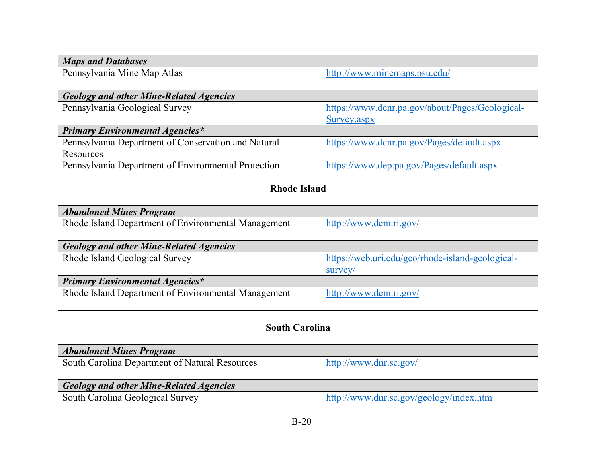| <b>Maps and Databases</b>                           |                                                  |  |
|-----------------------------------------------------|--------------------------------------------------|--|
| Pennsylvania Mine Map Atlas                         | http://www.minemaps.psu.edu/                     |  |
|                                                     |                                                  |  |
| <b>Geology and other Mine-Related Agencies</b>      |                                                  |  |
| Pennsylvania Geological Survey                      | https://www.dcnr.pa.gov/about/Pages/Geological-  |  |
|                                                     | Survey.aspx                                      |  |
| <b>Primary Environmental Agencies*</b>              |                                                  |  |
| Pennsylvania Department of Conservation and Natural | https://www.dcnr.pa.gov/Pages/default.aspx       |  |
| <b>Resources</b>                                    |                                                  |  |
| Pennsylvania Department of Environmental Protection | https://www.dep.pa.gov/Pages/default.aspx        |  |
|                                                     |                                                  |  |
| <b>Rhode Island</b>                                 |                                                  |  |
|                                                     |                                                  |  |
| <b>Abandoned Mines Program</b>                      |                                                  |  |
| Rhode Island Department of Environmental Management | http://www.dem.ri.gov/                           |  |
|                                                     |                                                  |  |
| <b>Geology and other Mine-Related Agencies</b>      |                                                  |  |
| Rhode Island Geological Survey                      | https://web.uri.edu/geo/rhode-island-geological- |  |
|                                                     | survey/                                          |  |
| <b>Primary Environmental Agencies*</b>              |                                                  |  |
| Rhode Island Department of Environmental Management | http://www.dem.ri.gov/                           |  |
|                                                     |                                                  |  |
|                                                     |                                                  |  |
| <b>South Carolina</b>                               |                                                  |  |
|                                                     |                                                  |  |
| <b>Abandoned Mines Program</b>                      |                                                  |  |
| South Carolina Department of Natural Resources      | http://www.dnr.sc.gov/                           |  |
|                                                     |                                                  |  |
| <b>Geology and other Mine-Related Agencies</b>      |                                                  |  |
| South Carolina Geological Survey                    | http://www.dnr.sc.gov/geology/index.htm          |  |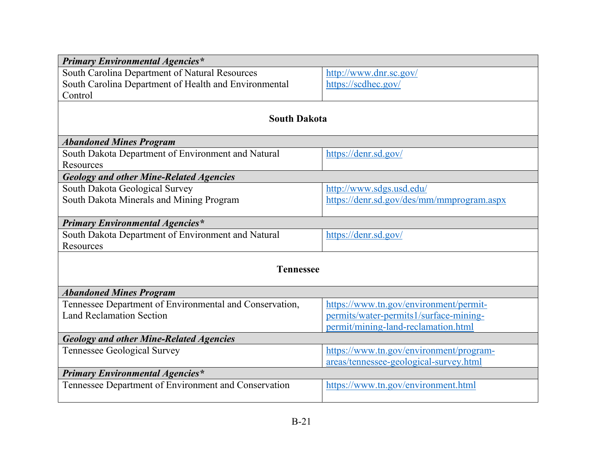| <b>Primary Environmental Agencies*</b>                  |                                           |  |
|---------------------------------------------------------|-------------------------------------------|--|
| South Carolina Department of Natural Resources          | http://www.dnr.sc.gov/                    |  |
| South Carolina Department of Health and Environmental   | https://scdhec.gov/                       |  |
| Control                                                 |                                           |  |
|                                                         |                                           |  |
| <b>South Dakota</b>                                     |                                           |  |
| <b>Abandoned Mines Program</b>                          |                                           |  |
| South Dakota Department of Environment and Natural      | https://denr.sd.gov/                      |  |
| Resources                                               |                                           |  |
| <b>Geology and other Mine-Related Agencies</b>          |                                           |  |
| South Dakota Geological Survey                          | http://www.sdgs.usd.edu/                  |  |
| South Dakota Minerals and Mining Program                | https://denr.sd.gov/des/mm/mmprogram.aspx |  |
|                                                         |                                           |  |
| <b>Primary Environmental Agencies*</b>                  |                                           |  |
| South Dakota Department of Environment and Natural      | https://denr.sd.gov/                      |  |
| Resources                                               |                                           |  |
| <b>Tennessee</b>                                        |                                           |  |
|                                                         |                                           |  |
| <b>Abandoned Mines Program</b>                          |                                           |  |
| Tennessee Department of Environmental and Conservation, | https://www.tn.gov/environment/permit-    |  |
| <b>Land Reclamation Section</b>                         | permits/water-permits1/surface-mining-    |  |
|                                                         | permit/mining-land-reclamation.html       |  |
| <b>Geology and other Mine-Related Agencies</b>          |                                           |  |
| <b>Tennessee Geological Survey</b>                      | https://www.tn.gov/environment/program-   |  |
|                                                         | areas/tennessee-geological-survey.html    |  |
| <b>Primary Environmental Agencies*</b>                  |                                           |  |
| Tennessee Department of Environment and Conservation    | https://www.tn.gov/environment.html       |  |
|                                                         |                                           |  |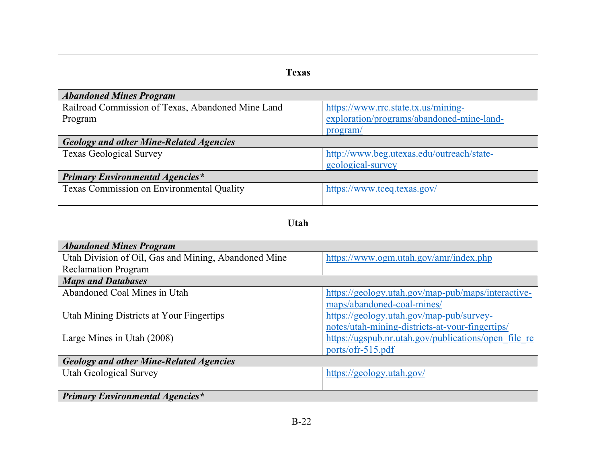| <b>Texas</b>                                                                       |                                                                                              |  |
|------------------------------------------------------------------------------------|----------------------------------------------------------------------------------------------|--|
| <b>Abandoned Mines Program</b>                                                     |                                                                                              |  |
| Railroad Commission of Texas, Abandoned Mine Land<br>Program                       | https://www.rrc.state.tx.us/mining-<br>exploration/programs/abandoned-mine-land-<br>program/ |  |
| <b>Geology and other Mine-Related Agencies</b>                                     |                                                                                              |  |
| <b>Texas Geological Survey</b>                                                     | http://www.beg.utexas.edu/outreach/state-<br>geological-survey                               |  |
| <b>Primary Environmental Agencies*</b>                                             |                                                                                              |  |
| Texas Commission on Environmental Quality                                          | https://www.tceq.texas.gov/                                                                  |  |
| <b>Utah</b>                                                                        |                                                                                              |  |
| <b>Abandoned Mines Program</b>                                                     |                                                                                              |  |
| Utah Division of Oil, Gas and Mining, Abandoned Mine<br><b>Reclamation Program</b> | https://www.ogm.utah.gov/amr/index.php                                                       |  |
| <b>Maps and Databases</b>                                                          |                                                                                              |  |
| Abandoned Coal Mines in Utah                                                       | https://geology.utah.gov/map-pub/maps/interactive-<br>maps/abandoned-coal-mines/             |  |
| Utah Mining Districts at Your Fingertips                                           | https://geology.utah.gov/map-pub/survey-<br>notes/utah-mining-districts-at-your-fingertips/  |  |
| Large Mines in Utah (2008)                                                         | https://ugspub.nr.utah.gov/publications/open file re<br>ports/ofr-515.pdf                    |  |
| <b>Geology and other Mine-Related Agencies</b>                                     |                                                                                              |  |
| <b>Utah Geological Survey</b>                                                      | https://geology.utah.gov/                                                                    |  |
| <b>Primary Environmental Agencies*</b>                                             |                                                                                              |  |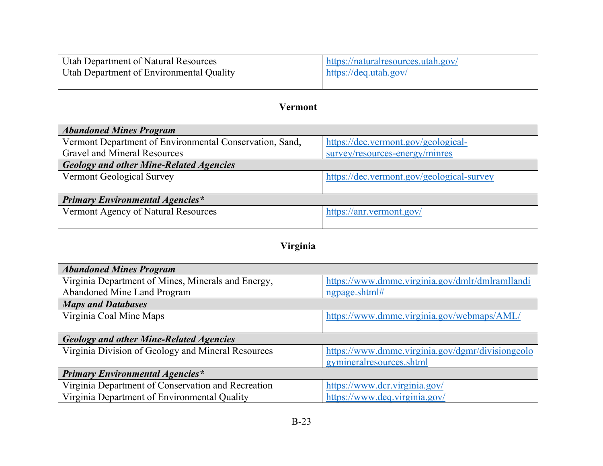| <b>Utah Department of Natural Resources</b>             | https://naturalresources.utah.gov/               |  |
|---------------------------------------------------------|--------------------------------------------------|--|
| Utah Department of Environmental Quality                | https://deq.utah.gov/                            |  |
|                                                         |                                                  |  |
|                                                         |                                                  |  |
| <b>Vermont</b>                                          |                                                  |  |
| <b>Abandoned Mines Program</b>                          |                                                  |  |
| Vermont Department of Environmental Conservation, Sand, | https://dec.vermont.gov/geological-              |  |
| <b>Gravel and Mineral Resources</b>                     | survey/resources-energy/minres                   |  |
|                                                         |                                                  |  |
| <b>Geology and other Mine-Related Agencies</b>          |                                                  |  |
| <b>Vermont Geological Survey</b>                        | https://dec.vermont.gov/geological-survey        |  |
| <b>Primary Environmental Agencies*</b>                  |                                                  |  |
| Vermont Agency of Natural Resources                     | https://anr.vermont.gov/                         |  |
|                                                         |                                                  |  |
|                                                         |                                                  |  |
| Virginia                                                |                                                  |  |
| <b>Abandoned Mines Program</b>                          |                                                  |  |
| Virginia Department of Mines, Minerals and Energy,      | https://www.dmme.virginia.gov/dmlr/dmlramllandi  |  |
| Abandoned Mine Land Program                             | ngpage.shtml#                                    |  |
| <b>Maps and Databases</b>                               |                                                  |  |
| Virginia Coal Mine Maps                                 | https://www.dmme.virginia.gov/webmaps/AML/       |  |
|                                                         |                                                  |  |
| <b>Geology and other Mine-Related Agencies</b>          |                                                  |  |
| Virginia Division of Geology and Mineral Resources      | https://www.dmme.virginia.gov/dgmr/divisiongeolo |  |
|                                                         | gymineralresources.shtml                         |  |
| <b>Primary Environmental Agencies*</b>                  |                                                  |  |
| Virginia Department of Conservation and Recreation      | https://www.dcr.virginia.gov/                    |  |
| Virginia Department of Environmental Quality            | https://www.deq.virginia.gov/                    |  |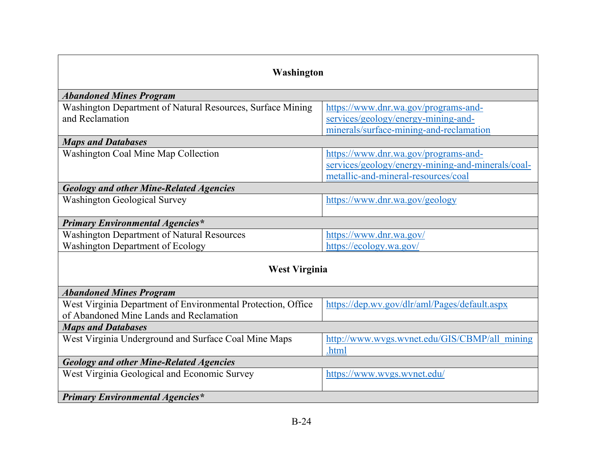| Washington                                                   |                                                   |  |
|--------------------------------------------------------------|---------------------------------------------------|--|
|                                                              |                                                   |  |
| <b>Abandoned Mines Program</b>                               |                                                   |  |
| Washington Department of Natural Resources, Surface Mining   | https://www.dnr.wa.gov/programs-and-              |  |
| and Reclamation                                              | services/geology/energy-mining-and-               |  |
|                                                              | minerals/surface-mining-and-reclamation           |  |
| <b>Maps and Databases</b>                                    |                                                   |  |
| Washington Coal Mine Map Collection                          | https://www.dnr.wa.gov/programs-and-              |  |
|                                                              | services/geology/energy-mining-and-minerals/coal- |  |
|                                                              | metallic-and-mineral-resources/coal               |  |
| <b>Geology and other Mine-Related Agencies</b>               |                                                   |  |
| <b>Washington Geological Survey</b>                          | https://www.dnr.wa.gov/geology                    |  |
|                                                              |                                                   |  |
| <b>Primary Environmental Agencies*</b>                       |                                                   |  |
| <b>Washington Department of Natural Resources</b>            | https://www.dnr.wa.gov/                           |  |
| <b>Washington Department of Ecology</b>                      | https://ecology.wa.gov/                           |  |
|                                                              |                                                   |  |
| <b>West Virginia</b>                                         |                                                   |  |
| <b>Abandoned Mines Program</b>                               |                                                   |  |
| West Virginia Department of Environmental Protection, Office | https://dep.wv.gov/dlr/aml/Pages/default.aspx     |  |
| of Abandoned Mine Lands and Reclamation                      |                                                   |  |
| <b>Maps and Databases</b>                                    |                                                   |  |
| West Virginia Underground and Surface Coal Mine Maps         | http://www.wvgs.wvnet.edu/GIS/CBMP/all_mining     |  |
|                                                              | .html                                             |  |
| <b>Geology and other Mine-Related Agencies</b>               |                                                   |  |
| West Virginia Geological and Economic Survey                 | https://www.wvgs.wvnet.edu/                       |  |
|                                                              |                                                   |  |
| <b>Primary Environmental Agencies*</b>                       |                                                   |  |